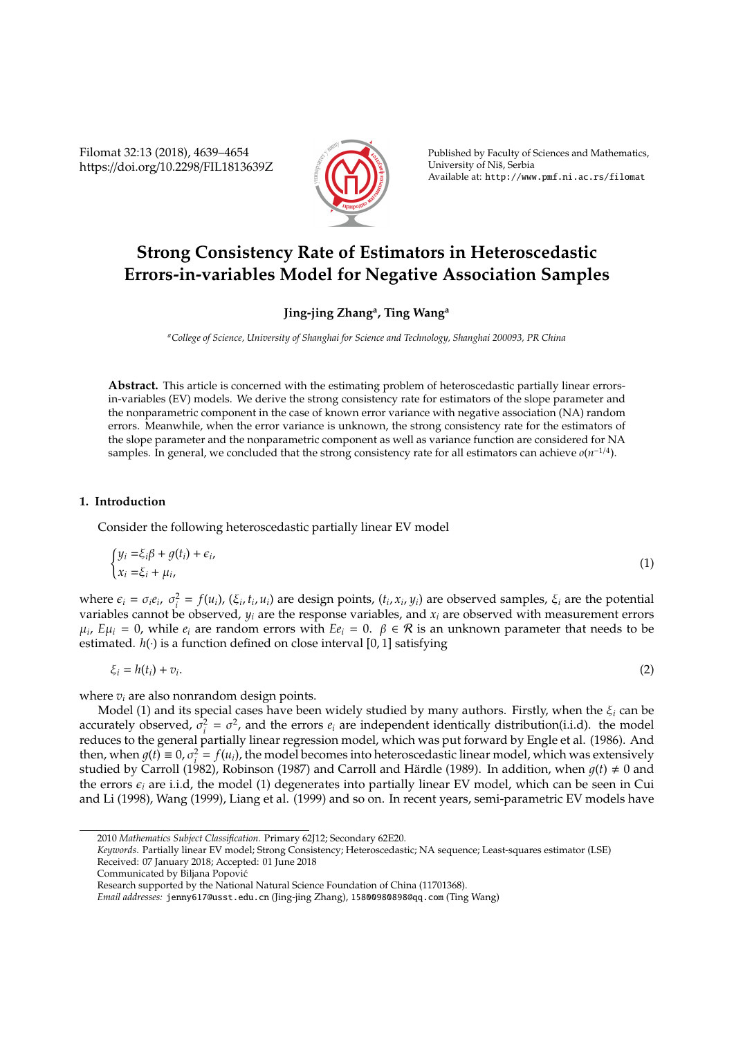Filomat 32:13 (2018), 4639–4654 https://doi.org/10.2298/FIL1813639Z



Published by Faculty of Sciences and Mathematics, University of Niš, Serbia Available at: http://www.pmf.ni.ac.rs/filomat

# **Strong Consistency Rate of Estimators in Heteroscedastic Errors-in-variables Model for Negative Association Samples**

# **Jing-jing Zhang<sup>a</sup> , Ting Wang<sup>a</sup>**

*<sup>a</sup>College of Science, University of Shanghai for Science and Technology, Shanghai 200093, PR China*

**Abstract.** This article is concerned with the estimating problem of heteroscedastic partially linear errorsin-variables (EV) models. We derive the strong consistency rate for estimators of the slope parameter and the nonparametric component in the case of known error variance with negative association (NA) random errors. Meanwhile, when the error variance is unknown, the strong consistency rate for the estimators of the slope parameter and the nonparametric component as well as variance function are considered for NA samples. In general, we concluded that the strong consistency rate for all estimators can achieve *o*(*n*<sup>-1/4</sup>).

# **1. Introduction**

Consider the following heteroscedastic partially linear EV model

$$
\begin{cases} y_i = \xi_i \beta + g(t_i) + \epsilon_i, \\ x_i = \xi_i + \mu_i, \end{cases} \tag{1}
$$

where  $\epsilon_i = \sigma_i e_i$ ,  $\sigma_i^2 = f(u_i)$ ,  $(\xi_i, t_i, u_i)$  are design points,  $(t_i, x_i, y_i)$  are observed samples,  $\xi_i$  are the potential variables cannot be observed, *y<sup>i</sup>* are the response variables, and *x<sup>i</sup>* are observed with measurement errors  $\mu_i$ ,  $E\mu_i = 0$ , while  $e_i$  are random errors with  $Ee_i = 0$ .  $\beta \in \mathcal{R}$  is an unknown parameter that needs to be estimated. *h*(·) is a function defined on close interval [0, 1] satisfying

$$
\xi_i = h(t_i) + v_i. \tag{2}
$$

where  $v_i$  are also nonrandom design points.

Model (1) and its special cases have been widely studied by many authors. Firstly, when the ξ*<sup>i</sup>* can be accurately observed,  $\sigma_i^2 = \sigma^2$ , and the errors  $e_i$  are independent identically distribution(i.i.d). the model reduces to the general partially linear regression model, which was put forward by Engle et al. (1986). And then, when  $g(t) \equiv 0$ ,  $\sigma_i^2 = f(u_i)$ , the model becomes into heteroscedastic linear model, which was extensively studied by Carroll (1982), Robinson (1987) and Carroll and Härdle (1989). In addition, when  $q(t) \neq 0$  and the errors  $\epsilon_i$  are i.i.d, the model (1) degenerates into partially linear EV model, which can be seen in Cui and Li (1998), Wang (1999), Liang et al. (1999) and so on. In recent years, semi-parametric EV models have

*Keywords*. Partially linear EV model; Strong Consistency; Heteroscedastic; NA sequence; Least-squares estimator (LSE) Received: 07 January 2018; Accepted: 01 June 2018

<sup>2010</sup> *Mathematics Subject Classification*. Primary 62J12; Secondary 62E20.

Communicated by Biljana Popovic´

Research supported by the National Natural Science Foundation of China (11701368).

*Email addresses:* jenny617@usst.edu.cn (Jing-jing Zhang), 15800980898@qq.com (Ting Wang)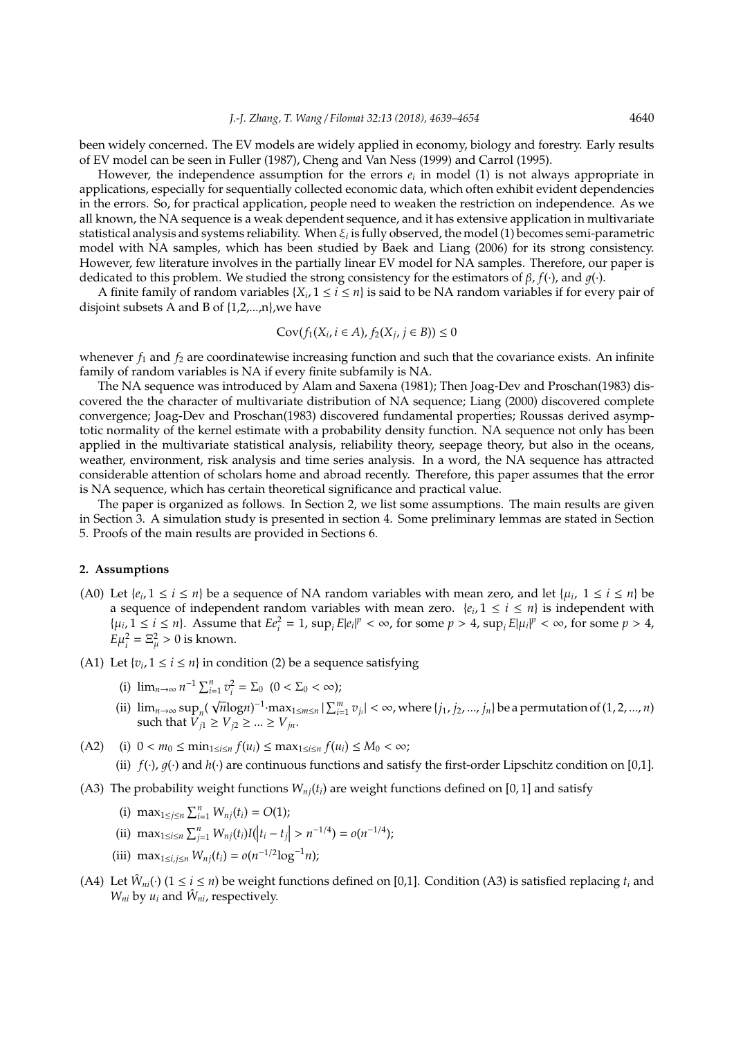been widely concerned. The EV models are widely applied in economy, biology and forestry. Early results of EV model can be seen in Fuller (1987), Cheng and Van Ness (1999) and Carrol (1995).

However, the independence assumption for the errors *e<sup>i</sup>* in model (1) is not always appropriate in applications, especially for sequentially collected economic data, which often exhibit evident dependencies in the errors. So, for practical application, people need to weaken the restriction on independence. As we all known, the NA sequence is a weak dependent sequence, and it has extensive application in multivariate statistical analysis and systems reliability. When ξ*<sup>i</sup>* is fully observed, the model (1) becomes semi-parametric model with NA samples, which has been studied by Baek and Liang (2006) for its strong consistency. However, few literature involves in the partially linear EV model for NA samples. Therefore, our paper is dedicated to this problem. We studied the strong consistency for the estimators of β, *f*(·), and 1(·).

A finite family of random variables  $\{X_i, 1 \le i \le n\}$  is said to be NA random variables if for every pair of disjoint subsets A and B of {1,2,...,n},we have

$$
Cov(f_1(X_i, i \in A), f_2(X_j, j \in B)) \leq 0
$$

whenever  $f_1$  and  $f_2$  are coordinatewise increasing function and such that the covariance exists. An infinite family of random variables is NA if every finite subfamily is NA.

The NA sequence was introduced by Alam and Saxena (1981); Then Joag-Dev and Proschan(1983) discovered the the character of multivariate distribution of NA sequence; Liang (2000) discovered complete convergence; Joag-Dev and Proschan(1983) discovered fundamental properties; Roussas derived asymptotic normality of the kernel estimate with a probability density function. NA sequence not only has been applied in the multivariate statistical analysis, reliability theory, seepage theory, but also in the oceans, weather, environment, risk analysis and time series analysis. In a word, the NA sequence has attracted considerable attention of scholars home and abroad recently. Therefore, this paper assumes that the error is NA sequence, which has certain theoretical significance and practical value.

The paper is organized as follows. In Section 2, we list some assumptions. The main results are given in Section 3. A simulation study is presented in section 4. Some preliminary lemmas are stated in Section 5. Proofs of the main results are provided in Sections 6.

#### **2. Assumptions**

- (A0) Let  $\{e_i, 1 \le i \le n\}$  be a sequence of NA random variables with mean zero, and let  $\{\mu_i, 1 \le i \le n\}$  be a sequence of independent random variables with mean zero.  $\{e_i, 1 \leq i \leq n\}$  is independent with  $\{\mu_i, 1 \leq i \leq n\}$ . Assume that  $E e_i^2 = 1$ ,  $\sup_i E |e_i|^p < \infty$ , for some  $p > 4$ ,  $\sup_i E |\mu_i|^p < \infty$ , for some  $p > 4$ ,  $E\mu_i^2 = \Xi_\mu^2 > 0$  is known.
- (A1) Let  $\{v_i, 1 \le i \le n\}$  in condition (2) be a sequence satisfying
	- (i)  $\lim_{n \to \infty} n^{-1} \sum_{i=1}^{n} v_i^2 = \sum_0 (0 < \sum_0 < \infty);$ √
	- (ii)  $\lim_{n\to\infty} \sup_n$  $\overline{n}$ log*n*)<sup>-1</sup>·max<sub>1≤m≤n</sub> |  $\sum_{i=1}^{m} v_{j_i}$ | < ∞, where {*j*<sub>1</sub>, *j*<sub>2</sub>, ..., *j*<sub>n</sub>} be a permutation of (1, 2, ..., *n*) such that  $V_{j1}^n \ge V_{j2} \ge ... \ge V_{jn}$ .
- $(A2)$  (i)  $0 < m_0 \le \min_{1 \le i \le n} f(u_i) \le \max_{1 \le i \le n} f(u_i) \le M_0 < \infty;$

(ii)  $f(\cdot)$ ,  $g(\cdot)$  and  $h(\cdot)$  are continuous functions and satisfy the first-order Lipschitz condition on [0,1].

- (A3) The probability weight functions  $W_{ni}(t_i)$  are weight functions defined on [0, 1] and satisfy
	- (i)  $\max_{1 \le j \le n} \sum_{i=1}^n W_{nj}(t_i) = O(1);$
	- (ii)  $\max_{1 \le i \le n} \sum_{j=1}^n W_{nj}(t_i) I(|t_i t_j| > n^{-1/4}) = o(n^{-1/4});$
	- (iii) max<sub>1≤*i*,*j*≤*n*</sub>  $W_{nj}(t_i) = o(n^{-1/2} \log^{-1} n)$ ;
- (A4) Let  $\hat{W}_{ni}(\cdot)$  ( $1 \le i \le n$ ) be weight functions defined on [0,1]. Condition (A3) is satisfied replacing  $t_i$  and  $W_{ni}$  by  $u_i$  and  $\hat{W}_{ni}$ , respectively.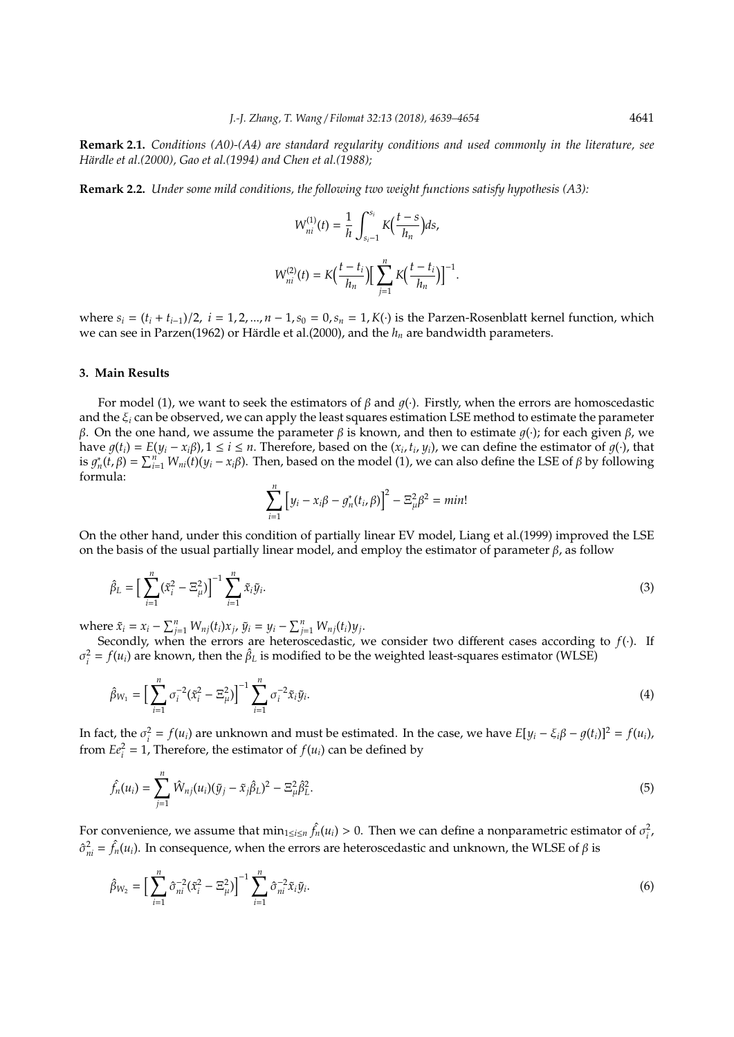**Remark 2.1.** *Conditions (A0)-(A4) are standard regularity conditions and used commonly in the literature, see Härdle et al.*(2000), Gao et al.(1994) and Chen et al.(1988):

**Remark 2.2.** *Under some mild conditions, the following two weight functions satisfy hypothesis (A3):*

$$
W_{ni}^{(1)}(t) = \frac{1}{h} \int_{s_i-1}^{s_i} K\left(\frac{t-s}{h_n}\right) ds,
$$
  

$$
W_{ni}^{(2)}(t) = K\left(\frac{t-t_i}{h_n}\right) \left[\sum_{j=1}^n K\left(\frac{t-t_i}{h_n}\right)\right]^{-1}
$$

.

where  $s_i = (t_i + t_{i-1})/2$ ,  $i = 1, 2, ..., n - 1$ ,  $s_0 = 0$ ,  $s_n = 1$ ,  $K(\cdot)$  is the Parzen-Rosenblatt kernel function, which we can see in Parzen(1962) or Härdle et al.(2000), and the  $h_n$  are bandwidth parameters.

# **3. Main Results**

For model (1), we want to seek the estimators of  $\beta$  and  $q(\cdot)$ . Firstly, when the errors are homoscedastic and the ξ*<sup>i</sup>* can be observed, we can apply the least squares estimation LSE method to estimate the parameter β. On the one hand, we assume the parameter β is known, and then to estimate  $g(\cdot)$ ; for each given β, we have  $g(t_i) = E(y_i - x_i\beta)$ ,  $1 \le i \le n$ . Therefore, based on the  $(x_i, t_i, y_i)$ , we can define the estimator of  $g(\cdot)$ , that is  $g_n^*(t, \beta) = \sum_{i=1}^n W_{ni}(t)(y_i - x_i \beta)$ . Then, based on the model (1), we can also define the LSE of  $\beta$  by following formula:

$$
\sum_{i=1}^{n} [y_i - x_i \beta - g_n^*(t_i, \beta)]^2 - \Xi_{\mu}^2 \beta^2 = \min!
$$

On the other hand, under this condition of partially linear EV model, Liang et al.(1999) improved the LSE on the basis of the usual partially linear model, and employ the estimator of parameter  $\beta$ , as follow

$$
\hat{\beta}_L = \Big[\sum_{i=1}^n (\tilde{x}_i^2 - \Xi_{\mu}^2)\Big]^{-1} \sum_{i=1}^n \tilde{x}_i \tilde{y}_i.
$$
\n(3)

where  $\tilde{x}_i = x_i - \sum_{j=1}^n W_{nj}(t_i) x_j$ ,  $\tilde{y}_i = y_i - \sum_{j=1}^n W_{nj}(t_i) y_j$ .

Secondly, when the errors are heteroscedastic, we consider two different cases according to *f*(·). If  $\sigma_i^2 = f(u_i)$  are known, then the  $\hat{\beta}_L$  is modified to be the weighted least-squares estimator (WLSE)

$$
\hat{\beta}_{W_1} = \Big[\sum_{i=1}^n \sigma_i^{-2} (\tilde{x}_i^2 - \Xi_{\mu}^2) \Big]^{-1} \sum_{i=1}^n \sigma_i^{-2} \tilde{x}_i \tilde{y}_i.
$$
\n(4)

In fact, the  $\sigma_i^2 = f(u_i)$  are unknown and must be estimated. In the case, we have  $E[y_i - \xi_i \beta - g(t_i)]^2 = f(u_i)$ , from  $Ee_i^2 = 1$ , Therefore, the estimator of  $f(u_i)$  can be defined by

$$
\hat{f}_n(u_i) = \sum_{j=1}^n \hat{W}_{nj}(u_i)(\tilde{y}_j - \tilde{x}_j \hat{\beta}_L)^2 - \Xi_{\mu}^2 \hat{\beta}_L^2.
$$
\n(5)

For convenience, we assume that  $\min_{1 \le i \le n} \hat{f}_n(u_i) > 0$ . Then we can define a nonparametric estimator of  $\sigma_i^2$ ,  $\hat{\sigma}_{ni}^2 = \hat{f}_n(u_i)$ . In consequence, when the errors are heteroscedastic and unknown, the WLSE of  $\beta$  is

$$
\hat{\beta}_{W_2} = \Big[\sum_{i=1}^n \hat{\sigma}_{ni}^{-2} (\tilde{x}_i^2 - \Xi_{\mu}^2) \Big]^{-1} \sum_{i=1}^n \hat{\sigma}_{ni}^{-2} \tilde{x}_i \tilde{y}_i.
$$
\n(6)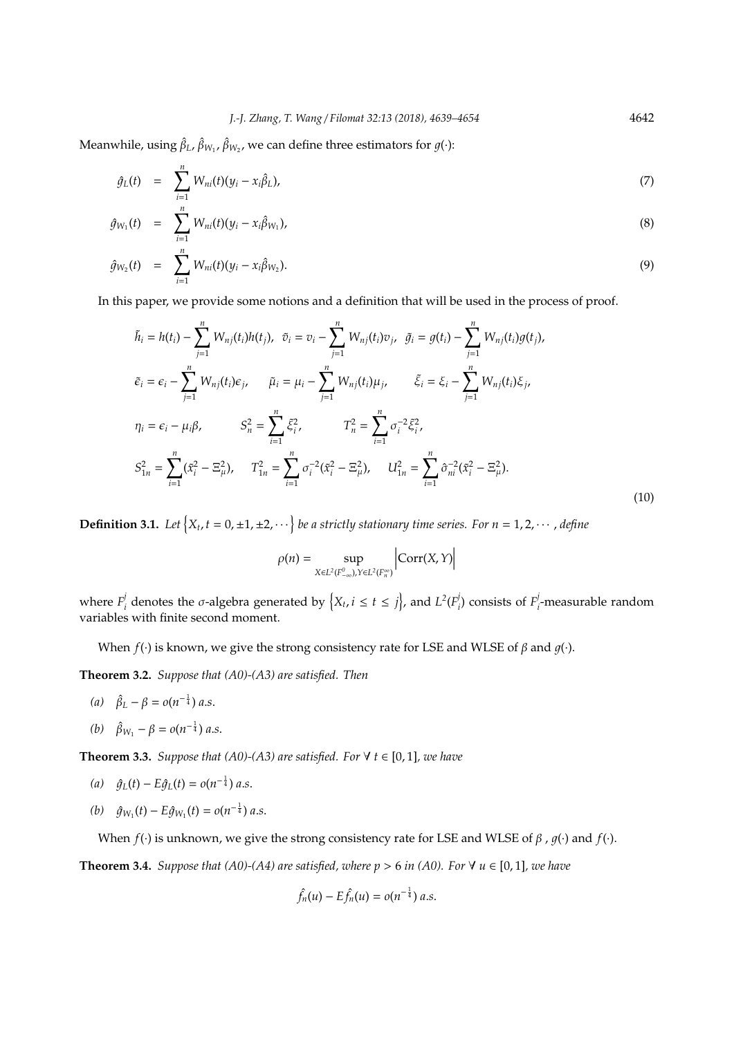Meanwhile, using  $\hat{\beta}_L$ ,  $\hat{\beta}_{W_1}$ ,  $\hat{\beta}_{W_2}$ , we can define three estimators for  $g(\cdot)$ :

$$
\hat{g}_L(t) = \sum_{i=1}^n W_{ni}(t)(y_i - x_i \hat{\beta}_L), \qquad (7)
$$

$$
\hat{g}_{W_1}(t) = \sum_{i=1}^n W_{ni}(t)(y_i - x_i \hat{\beta}_{W_1}), \qquad (8)
$$

$$
\hat{g}_{W_2}(t) = \sum_{i=1}^n W_{ni}(t)(y_i - x_i \hat{\beta}_{W_2}).
$$
\n(9)

In this paper, we provide some notions and a definition that will be used in the process of proof.

$$
\tilde{h}_{i} = h(t_{i}) - \sum_{j=1}^{n} W_{nj}(t_{i})h(t_{j}), \quad \tilde{v}_{i} = v_{i} - \sum_{j=1}^{n} W_{nj}(t_{i})v_{j}, \quad \tilde{g}_{i} = g(t_{i}) - \sum_{j=1}^{n} W_{nj}(t_{i})g(t_{j}),
$$
\n
$$
\tilde{\epsilon}_{i} = \epsilon_{i} - \sum_{j=1}^{n} W_{nj}(t_{i})\epsilon_{j}, \qquad \tilde{\mu}_{i} = \mu_{i} - \sum_{j=1}^{n} W_{nj}(t_{i})\mu_{j}, \qquad \tilde{\xi}_{i} = \xi_{i} - \sum_{j=1}^{n} W_{nj}(t_{i})\xi_{j},
$$
\n
$$
\eta_{i} = \epsilon_{i} - \mu_{i}\beta, \qquad S_{n}^{2} = \sum_{i=1}^{n} \xi_{i}^{2}, \qquad T_{n}^{2} = \sum_{i=1}^{n} \sigma_{i}^{-2}\xi_{i}^{2},
$$
\n
$$
S_{1n}^{2} = \sum_{i=1}^{n} (\tilde{x}_{i}^{2} - \Xi_{\mu}^{2}), \qquad T_{1n}^{2} = \sum_{i=1}^{n} \sigma_{i}^{-2}(\tilde{x}_{i}^{2} - \Xi_{\mu}^{2}), \qquad U_{1n}^{2} = \sum_{i=1}^{n} \hat{\sigma}_{ni}^{-2}(\tilde{x}_{i}^{2} - \Xi_{\mu}^{2}).
$$
\n(10)

**Definition 3.1.** Let  $\{X_t, t = 0, \pm 1, \pm 2, \cdots\}$  be a strictly stationary time series. For  $n = 1, 2, \cdots$  , define

$$
\rho(n) = \sup_{X \in L^2(F_{-\infty}^0), Y \in L^2(F_n^{\infty})} \left| \text{Corr}(X, Y) \right|
$$

where  $F^j_i$  $\int_{i}^{j}$  denotes the  $\sigma$ -algebra generated by  $\left\{X_{t}, i \leq t \leq j\right\}$ , and  $L^{2}(F_{i}^{j})$  $\binom{p}{i}$  consists of  $F_i^j$ *i* -measurable random variables with finite second moment.

When  $f(\cdot)$  is known, we give the strong consistency rate for LSE and WLSE of  $\beta$  and  $q(\cdot)$ .

**Theorem 3.2.** *Suppose that (A0)-(A3) are satisfied. Then*

- *(a)*  $\hat{\beta}_L \beta = o(n^{-\frac{1}{4}}) a.s.$
- *(b)*  $\hat{\beta}_{W_1} \beta = o(n^{-\frac{1}{4}}) a.s.$

**Theorem 3.3.** *Suppose that (A0)-(A3) are satisfied. For*  $\forall$   $t \in [0, 1]$ *, we have* 

- $\hat{g}_L(t) E \hat{g}_L(t) = o(n^{-\frac{1}{4}}) a.s.$
- $(b)$   $\hat{g}_{W_1}(t) E \hat{g}_{W_1}(t) = o(n^{-\frac{1}{4}})$  *a.s.*

When *f*(·) is unknown, we give the strong consistency rate for LSE and WLSE of  $\beta$ ,  $g(\cdot)$  and  $f(\cdot)$ .

**Theorem 3.4.** *Suppose that (A0)-(A4) are satisfied, where*  $p > 6$  *in (A0). For*  $\forall u \in [0, 1]$ *, we have* 

$$
\hat{f}_n(u) - E\hat{f}_n(u) = o(n^{-\frac{1}{4}}) a.s.
$$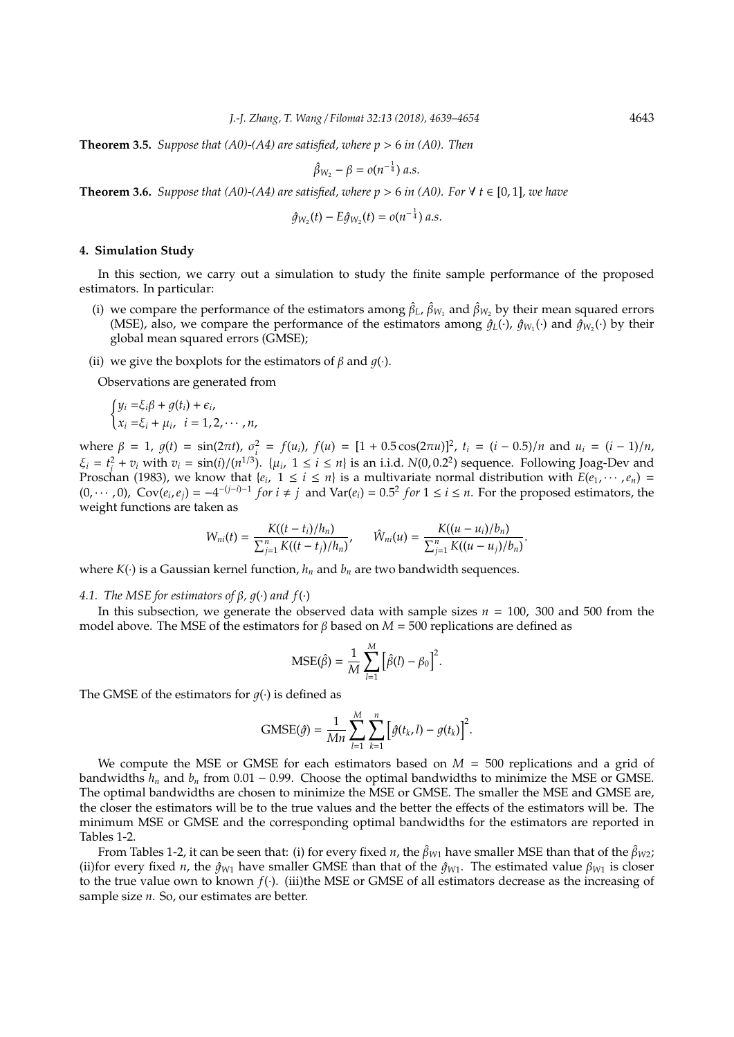**Theorem 3.5.** *Suppose that (A0)-(A4) are satisfied, where p* > 6 *in (A0). Then*

$$
\hat{\beta}_{W_2}-\beta=o(n^{-\frac{1}{4}}) a.s.
$$

**Theorem 3.6.** *Suppose that (A0)-(A4) are satisfied, where*  $p > 6$  *in (A0). For*  $\forall t \in [0, 1]$ *, we have* 

$$
\hat{g}_{W_2}(t) - E \hat{g}_{W_2}(t) = o(n^{-\frac{1}{4}}) a.s.
$$

#### **4. Simulation Study**

In this section, we carry out a simulation to study the finite sample performance of the proposed estimators. In particular:

- (i) we compare the performance of the estimators among  $\hat{\beta}_L$ ,  $\hat{\beta}_{W_1}$  and  $\hat{\beta}_{W_2}$  by their mean squared errors (MSE), also, we compare the performance of the estimators among  $\hat{g}_L(\cdot)$ ,  $\hat{g}_{W_1}(\cdot)$  and  $\hat{g}_{W_2}(\cdot)$  by their global mean squared errors (GMSE);
- (ii) we give the boxplots for the estimators of  $\beta$  and  $q(\cdot)$ .

Observations are generated from

$$
\begin{cases} y_i = \xi_i \beta + g(t_i) + \epsilon_i, \\ x_i = \xi_i + \mu_i, \quad i = 1, 2, \cdots, n, \end{cases}
$$

where  $\beta = 1$ ,  $g(t) = \sin(2\pi t)$ ,  $\sigma_i^2 = f(u_i)$ ,  $f(u) = [1 + 0.5 \cos(2\pi u)]^2$ ,  $t_i = (i - 0.5)/n$  and  $u_i = (i - 1)/n$ ,  $\xi_i = t_i^2 + v_i$  with  $v_i = \frac{\sin(i)}{n^{1/3}}$ .  $\{\mu_i, 1 \le i \le n\}$  is an i.i.d.  $N(0, 0.2^2)$  sequence. Following Joag-Dev and Proschan (1983), we know that  $\{e_i, 1 \le i \le n\}$  is a multivariate normal distribution with  $E(e_1, \dots, e_n)$  =  $(0, \dots, 0)$ ,  $Cov(e_i, e_j) = -4^{-(j-i)-1}$  *for*  $i \neq j$  and  $Var(e_i) = 0.5^2$  *for*  $1 \leq i \leq n$ . For the proposed estimators, the weight functions are taken as

$$
W_{ni}(t) = \frac{K((t-t_i)/h_n)}{\sum_{j=1}^n K((t-t_j)/h_n)}, \qquad \hat{W}_{ni}(u) = \frac{K((u-u_i)/b_n)}{\sum_{j=1}^n K((u-u_j)/b_n)}.
$$

where  $K(\cdot)$  is a Gaussian kernel function,  $h_n$  and  $b_n$  are two bandwidth sequences.

#### *4.1. The MSE for estimators of*  $β$ *,*  $g(·)$  *and*  $f(·)$

In this subsection, we generate the observed data with sample sizes *n* = 100, 300 and 500 from the model above. The MSE of the estimators for *β* based on  $M = 500$  replications are defined as

$$
MSE(\hat{\beta}) = \frac{1}{M} \sum_{l=1}^{M} \left[ \hat{\beta}(l) - \beta_0 \right]^2.
$$

The GMSE of the estimators for  $q(\cdot)$  is defined as

$$
\text{GMSE}(\hat{g}) = \frac{1}{Mn} \sum_{l=1}^{M} \sum_{k=1}^{n} \left[ \hat{g}(t_k, l) - g(t_k) \right]^2.
$$

We compute the MSE or GMSE for each estimators based on  $M = 500$  replications and a grid of bandwidths  $h_n$  and  $b_n$  from 0.01 – 0.99. Choose the optimal bandwidths to minimize the MSE or GMSE. The optimal bandwidths are chosen to minimize the MSE or GMSE. The smaller the MSE and GMSE are, the closer the estimators will be to the true values and the better the effects of the estimators will be. The minimum MSE or GMSE and the corresponding optimal bandwidths for the estimators are reported in Tables 1-2.

From Tables 1-2, it can be seen that: (i) for every fixed *n*, the  $\hat{\beta}_{W1}$  have smaller MSE than that of the  $\hat{\beta}_{W2}$ ; (ii)for every fixed *n*, the  $\hat{q}_{W1}$  have smaller GMSE than that of the  $\hat{q}_{W1}$ . The estimated value  $\beta_{W1}$  is closer to the true value own to known *f*(·). (iii)the MSE or GMSE of all estimators decrease as the increasing of sample size *n*. So, our estimates are better.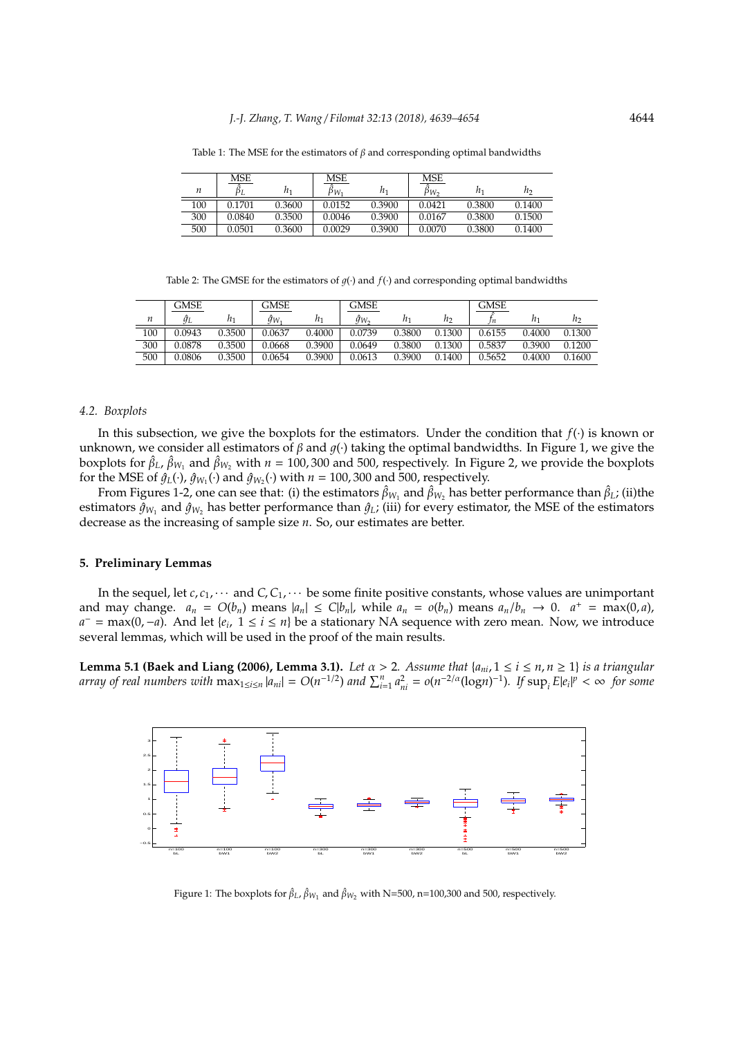|     | MSE    |        | MSE             |        | MSE    |        |        |
|-----|--------|--------|-----------------|--------|--------|--------|--------|
| n   | ΡL     | n,     | p <sub>Wι</sub> | n,     | pw,    | $n_1$  | h2     |
| 100 | 0.1701 | 0.3600 | 0.0152          | 0.3900 | 0.0421 | 0.3800 | 0.1400 |
| 300 | 0.0840 | 0.3500 | 0.0046          | 0.3900 | 0.0167 | 0.3800 | 0.1500 |
| 500 | 0.0501 | 0.3600 | 0.0029          | 0.3900 | 0.0070 | 0.3800 | 0.1400 |

Table 1: The MSE for the estimators of  $\beta$  and corresponding optimal bandwidths

Table 2: The GMSE for the estimators of  $g(\cdot)$  and  $f(\cdot)$  and corresponding optimal bandwidths

|     | GMSE   |        | GMSE   |        | GMSE            |        |        | <b>GMSE</b> |        |                |
|-----|--------|--------|--------|--------|-----------------|--------|--------|-------------|--------|----------------|
| n   | ÎΓ     | n,     | ğw.    |        | $\hat{q}_{W_2}$ |        | n      | n           |        | n <sub>2</sub> |
| 100 | 0.0943 | 0.3500 | 0.0637 | 0.4000 | 0.0739          | 0.3800 | 0.1300 | 0.6155      | 0.4000 | 0.1300         |
| 300 | 0.0878 | 0.3500 | 0.0668 | 0.3900 | 0.0649          | 0.3800 | 0.1300 | 0.5837      | 0.3900 | 0.1200         |
| 500 | 0.0806 | 0.3500 | 0.0654 | 0.3900 | 0.0613          | 0.3900 | 0.1400 | 0.5652      | 0.4000 | 0.1600         |

#### *4.2. Boxplots*

In this subsection, we give the boxplots for the estimators. Under the condition that *f*(·) is known or unknown, we consider all estimators of  $\beta$  and  $q(\cdot)$  taking the optimal bandwidths. In Figure 1, we give the boxplots for  $\hat{\beta}_L$ ,  $\hat{\beta}_{W_1}$  and  $\hat{\beta}_{W_2}$  with  $n = 100,300$  and 500, respectively. In Figure 2, we provide the boxplots for the MSE of  $\hat{g}_L(\cdot)$ ,  $\hat{g}_{W_1}(\cdot)$  and  $\hat{g}_{W_2}(\cdot)$  with  $n = 100$ , 300 and 500, respectively.

From Figures 1-2, one can see that: (i) the estimators  $\hat\beta_{W_1}$  and  $\hat\beta_{W_2}$  has better performance than  $\hat\beta_L$ ; (ii)the estimators  $\hat{g}_{W_1}$  and  $\hat{g}_{W_2}$  has better performance than  $\hat{g}_L$ ; (iii) for every estimator, the MSE of the estimators decrease as the increasing of sample size *n*. So, our estimates are better.

### **5. Preliminary Lemmas**

In the sequel, let  $c$ ,  $c_1$ ,  $\cdots$  and  $C$ ,  $C_1$ ,  $\cdots$  be some finite positive constants, whose values are unimportant and may change.  $a_n = O(b_n)$  means  $|a_n| \le C|b_n|$ , while  $a_n = O(b_n)$  means  $a_n/b_n \to 0$ .  $a^+ = \max(0, a)$ , *a*<sup>-</sup> = max(0,−*a*). And let {*e*<sub>*i*</sub>, 1 ≤ *i* ≤ *n*} be a stationary NA sequence with zero mean. Now, we introduce several lemmas, which will be used in the proof of the main results.

**Lemma 5.1 (Baek and Liang (2006), Lemma 3.1).** *Let*  $\alpha > 2$ . Assume that  $\{a_{ni}, 1 \le i \le n, n \ge 1\}$  is a triangular array of real numbers with  $\max_{1 \le i \le n} |a_{ni}| = O(n^{-1/2})$  and  $\sum_{i=1}^n a_{ni}^2 = o(n^{-2/\alpha}(\log n)^{-1})$ . If  $\sup_i E|e_i|^p < \infty$  for some



Figure 1: The boxplots for  $\hat{\beta}_L$ ,  $\hat{\beta}_{W_1}$  and  $\hat{\beta}_{W_2}$  with N=500, n=100,300 and 500, respectively.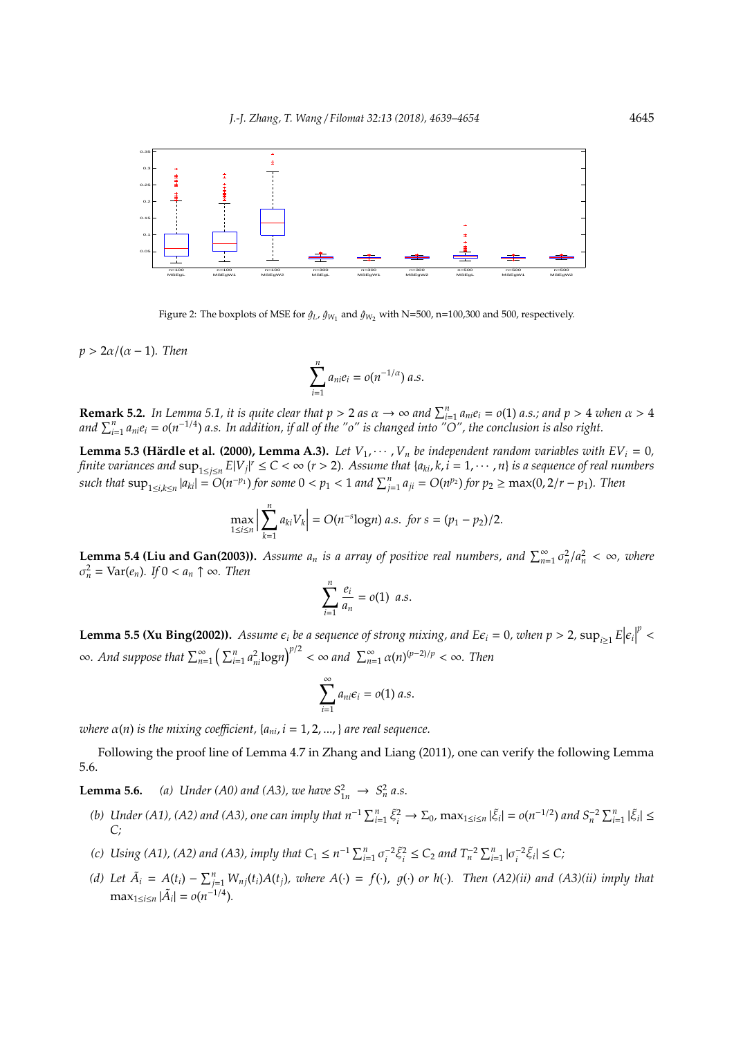

Figure 2: The boxplots of MSE for  $\hat{g}_L$ ,  $\hat{g}_{W_1}$  and  $\hat{g}_{W_2}$  with N=500, n=100,300 and 500, respectively.

 $p > 2\alpha/(\alpha - 1)$ *. Then* 

$$
\sum_{i=1}^n a_{ni}e_i = o(n^{-1/\alpha}) a.s.
$$

**Remark 5.2.** In Lemma 5.1, it is quite clear that  $p > 2$  as  $\alpha \to \infty$  and  $\sum_{i=1}^{n} a_{ni}e_i = o(1)$  a.s.; and  $p > 4$  when  $\alpha > 4$ and  $\sum_{i=1}^n a_{ni}e_i = o(n^{-1/4})$  *a.s. In addition, if all of the "o" is changed into "O", the conclusion is also right.* 

**Lemma 5.3 (Härdle et al. (2000), Lemma A.3).** *Let*  $V_1, \dots, V_n$  *be independent random variables with EV<sub>i</sub> = 0,* finite variances and  $\sup_{1\le j\le n}E|V_j|^r\le C<\infty$  (r > 2). Assume that {a<sub>ki</sub>, k, i = 1,  $\cdots$  , n} is a sequence of real numbers such that  $\sup_{1\leq i,k\leq n}|a_{ki}|=O(n^{-p_1})$  for some  $0< p_1<1$  and  $\sum_{j=1}^n a_{ji}=O(n^{p_2})$  for  $p_2\geq \max(0,2/r-p_1)$ . Then

$$
\max_{1 \le i \le n} \left| \sum_{k=1}^n a_{ki} V_k \right| = O(n^{-s} \log n) \ a.s. \ \text{for} \ s = (p_1 - p_2)/2.
$$

**Lemma 5.4 (Liu and Gan(2003)).** *Assume a<sub>n</sub>* is a array of positive real numbers, and  $\sum_{n=1}^{\infty} \sigma_n^2/a_n^2 < \infty$ , where  $\sigma_n^2 = \text{Var}(e_n)$ *. If*  $0 < a_n \uparrow \infty$ *. Then* 

$$
\sum_{i=1}^n \frac{e_i}{a_n} = o(1) \ a.s.
$$

**Lemma 5.5 (Xu Bing(2002)).** Assume  $\epsilon_i$  be a sequence of strong mixing, and  $E\epsilon_i = 0$ , when  $p > 2$ ,  $\sup_{i \ge 1} E|\epsilon_i|$ *p* <  $\infty$ *. And suppose that*  $\sum_{n=1}^{\infty} \left( \sum_{i=1}^{n} a_{ni}^{2} \log n \right)^{p/2} < \infty$  and  $\sum_{n=1}^{\infty} \alpha(n)^{(p-2)/p} < \infty$ *. Then* 

$$
\sum_{i=1}^{\infty} a_{ni} \epsilon_i = o(1) \ a.s.
$$

*where*  $\alpha(n)$  *is the mixing coefficient,*  $\{a_{ni}, i = 1, 2, ..., \}$  *are real sequence.* 

Following the proof line of Lemma 4.7 in Zhang and Liang (2011), one can verify the following Lemma 5.6.

**Lemma 5.6.** *(a) Under (A0) and (A3), we have*  $S_{1n}^2 \to S_n^2 a.s.$ 

- (b) Under (A1), (A2) and (A3), one can imply that  $n^{-1}\sum_{i=1}^n \tilde{\xi}_i^2 \to \Sigma_0$ ,  $\max_{1 \le i \le n} |\tilde{\xi}_i| = o(n^{-1/2})$  and  $S_n^{-2}\sum_{i=1}^n |\tilde{\xi}_i| \le n$ *C;*
- *(c)* Using (A1), (A2) and (A3), imply that  $C_1 \le n^{-1} \sum_{i=1}^n \sigma_i^{-2} \tilde{\xi}_i^2 \le C_2$  and  $T_n^{-2} \sum_{i=1}^n |\sigma_i^{-2} \tilde{\xi}_i| \le C$ ;
- (d) Let  $\tilde{A}_i = A(t_i) \sum_{j=1}^n W_{nj}(t_i)A(t_j)$ , where  $A(\cdot) = f(\cdot)$ ,  $g(\cdot)$  or  $h(\cdot)$ . Then  $(A2)(ii)$  and  $(A3)(ii)$  imply that  $\max_{1 \le i \le n} |\tilde{A}_i| = o(n^{-1/4}).$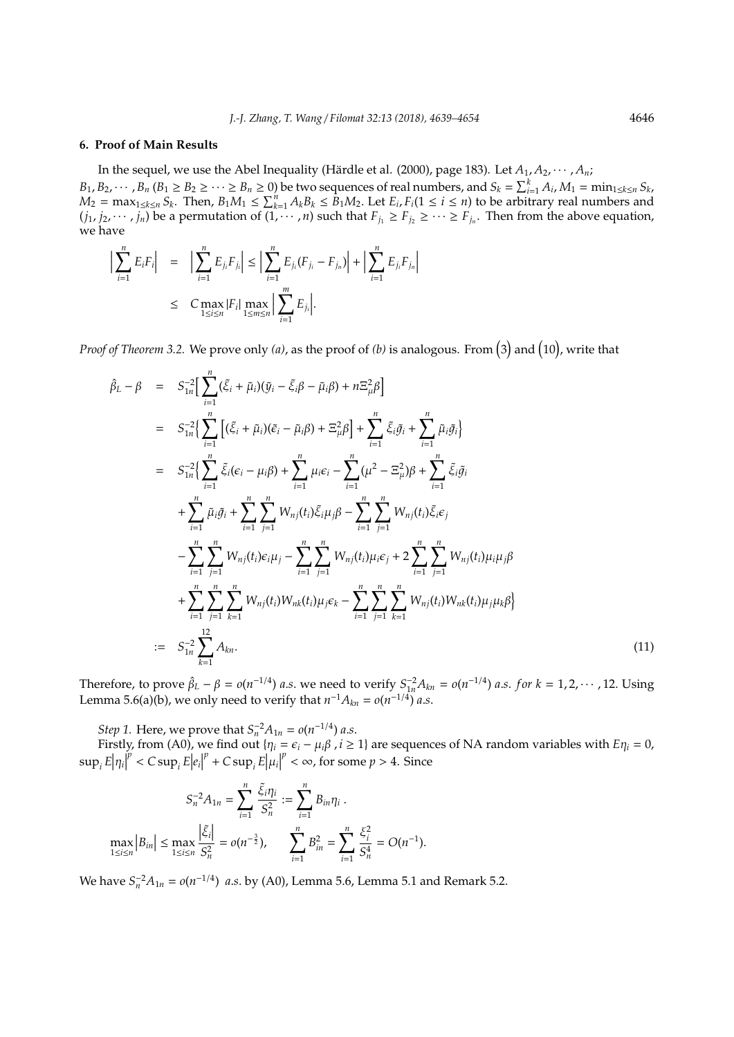#### **6. Proof of Main Results**

In the sequel, we use the Abel Inequality (Härdle et al. (2000), page 183). Let  $A_1, A_2, \cdots, A_n$ ;

 $B_1, B_2, \cdots, B_n$   $(B_1 \ge B_2 \ge \cdots \ge B_n \ge 0)$  be two sequences of real numbers, and  $S_k = \sum_{i=1}^k A_i$ ,  $M_1 = \min_{1 \le k \le n} S_k$ ,  $M_2 = \max_{1 \le k \le n} S_k$ . Then,  $B_1 M_1 \le \sum_{k=1}^n A_k B_k \le \hat{B}_1 M_2$ . Let  $E_i, F_i (1 \le i \le n)$  to be arbitrary real numbers and  $(j_1, j_2, \dots, j_n)$  be a permutation of  $(1, \dots, n)$  such that  $F_{j_1} \ge F_{j_2} \ge \dots \ge F_{j_n}$ . Then from the above equation, we have

$$
\left| \sum_{i=1}^{n} E_{i} F_{i} \right| = \left| \sum_{i=1}^{n} E_{j_{i}} F_{j_{i}} \right| \leq \left| \sum_{i=1}^{n} E_{j_{i}} (F_{j_{i}} - F_{j_{n}}) \right| + \left| \sum_{i=1}^{n} E_{j_{i}} F_{j_{n}} \right|
$$
  

$$
\leq C \max_{1 \leq i \leq n} |F_{i}| \max_{1 \leq m \leq n} \left| \sum_{i=1}^{m} E_{j_{i}} \right|.
$$

Proof of Theorem 3.2. We prove only (a), as the proof of (b) is analogous. From (3) and (10), write that

$$
\hat{\beta}_{L} - \beta = S_{1n}^{-2} \Big[ \sum_{i=1}^{n} (\tilde{\xi}_{i} + \tilde{\mu}_{i}) (\tilde{y}_{i} - \tilde{\xi}_{i} \beta - \tilde{\mu}_{i} \beta) + n \Xi_{\mu}^{2} \beta \Big]
$$
\n
$$
= S_{1n}^{-2} \Big[ \sum_{i=1}^{n} [(\tilde{\xi}_{i} + \tilde{\mu}_{i}) (\tilde{e}_{i} - \tilde{\mu}_{i} \beta) + \Xi_{\mu}^{2} \beta] + \sum_{i=1}^{n} \tilde{\xi}_{i} \tilde{g}_{i} + \sum_{i=1}^{n} \tilde{\mu}_{i} \tilde{g}_{i} \Big]
$$
\n
$$
= S_{1n}^{-2} \Big\{ \sum_{i=1}^{n} \tilde{\xi}_{i} (\epsilon_{i} - \mu_{i} \beta) + \sum_{i=1}^{n} \mu_{i} \epsilon_{i} - \sum_{i=1}^{n} (\mu^{2} - \Xi_{\mu}^{2}) \beta + \sum_{i=1}^{n} \tilde{\xi}_{i} \tilde{g}_{i} + \sum_{i=1}^{n} \tilde{\mu}_{i} \tilde{g}_{i} + \sum_{i=1}^{n} \tilde{\mu}_{i} \tilde{g}_{i} + \sum_{i=1}^{n} \sum_{j=1}^{n} W_{nj}(t_{i}) \tilde{\xi}_{i} \mu_{j} \beta - \sum_{i=1}^{n} \sum_{j=1}^{n} W_{nj}(t_{i}) \tilde{\xi}_{i} \epsilon_{j} - \sum_{i=1}^{n} \sum_{j=1}^{n} W_{nj}(t_{i}) \mu_{i} \epsilon_{j} + 2 \sum_{i=1}^{n} \sum_{j=1}^{n} W_{nj}(t_{i}) \mu_{i} \mu_{j} \beta + \sum_{i=1}^{n} \sum_{j=1}^{n} \sum_{k=1}^{n} W_{nj}(t_{i}) W_{nk}(t_{i}) \mu_{j} \epsilon_{k} - \sum_{i=1}^{n} \sum_{j=1}^{n} \sum_{k=1}^{n} W_{nj}(t_{i}) W_{nk}(t_{i}) \mu_{j} \mu_{k} \beta \Big\}
$$
\n
$$
:= S_{1n}^{-2} \sum_{k=1}^{12} A_{kn}.
$$
\n(11)

Therefore, to prove  $\hat{\beta}_L - \beta = o(n^{-1/4})$  *a.s.* we need to verify  $S_{1n}^{-2}A_{kn} = o(n^{-1/4})$  *a.s. for*  $k = 1, 2, \cdots, 12$ . Using Lemma 5.6(a)(b), we only need to verify that  $n^{-1}A_{kn} = o(n^{-1/4})$  *a.s.* 

*Step 1.* Here, we prove that  $S_n^{-2}A_{1n} = o(n^{-1/4})$  *a.s.* 

Firstly, from (A0), we find out  $\{\eta_i = \epsilon_i - \mu_i\beta, i \ge 1\}$  are sequences of NA random variables with  $E\eta_i = 0$ ,  $\sup_i E|\eta_i|$  $\int e^{i\theta}$  < *C* sup<sub>*i*</sub> *E* $|e_i|$  $p^p$  + *C* sup<sub>*i*</sub>  $E|\mu_i|$  $p^p < \infty$ , for some  $p > 4$ . Since

$$
S_n^{-2}A_{1n} = \sum_{i=1}^n \frac{\xi_i \eta_i}{S_n^2} := \sum_{i=1}^n B_{in} \eta_i.
$$
  

$$
\max_{1 \le i \le n} |B_{in}| \le \max_{1 \le i \le n} \frac{|\xi_i|}{S_n^2} = o(n^{-\frac{3}{2}}), \qquad \sum_{i=1}^n B_{in}^2 = \sum_{i=1}^n \frac{\xi_i^2}{S_n^4} = O(n^{-1}).
$$

We have  $S_n^{-2}A_{1n} = o(n^{-1/4})$  *a.s.* by (A0), Lemma 5.6, Lemma 5.1 and Remark 5.2.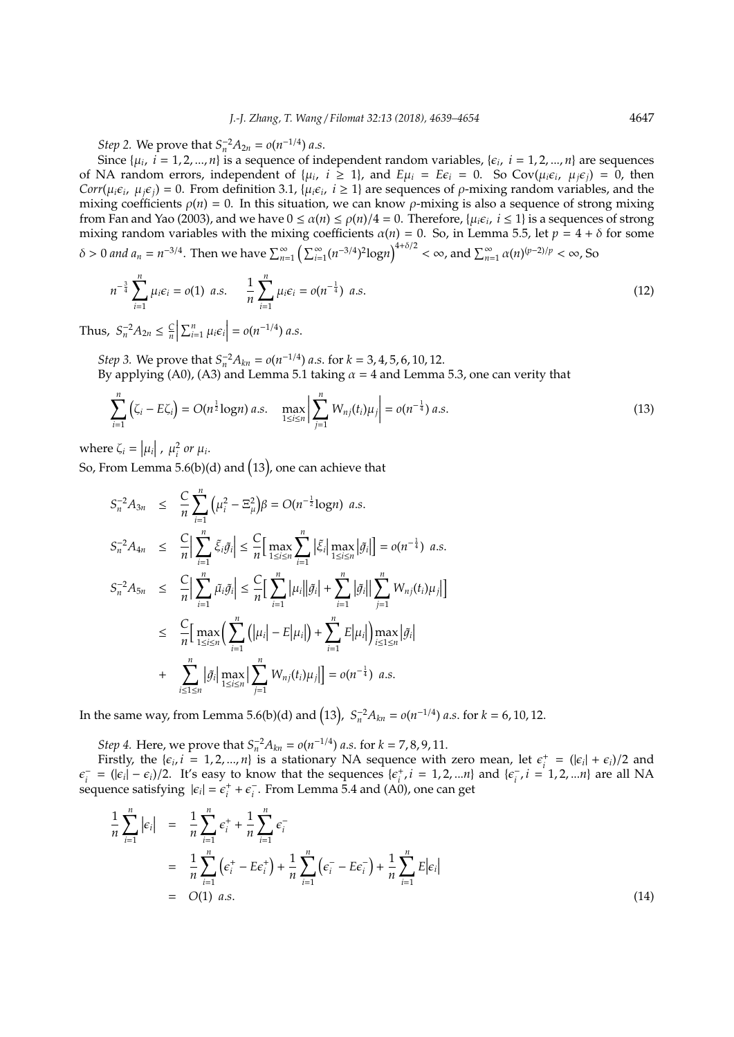*Step* 2. We prove that  $S_n^{-2}A_{2n} = o(n^{-1/4})$  *a.s.* 

Since  $\{\mu_i, i = 1, 2, ..., n\}$  is a sequence of independent random variables,  $\{\epsilon_i, i = 1, 2, ..., n\}$  are sequences of NA random errors, independent of  $\{\mu_i, i \geq 1\}$ , and  $E\mu_i = E\epsilon_i = 0$ . So Cov $(\mu_i \epsilon_i, \mu_j \epsilon_j) = 0$ , then *Corr*( $\mu_i \epsilon_i$ ,  $\mu_j \epsilon_j$ ) = 0. From definition 3.1, { $\mu_i \epsilon_i$ ,  $i \ge 1$ } are sequences of  $\rho$ -mixing random variables, and the mixing coefficients  $\rho(n) = 0$ . In this situation, we can know  $\rho$ -mixing is also a sequence of strong mixing from Fan and Yao (2003), and we have  $0 \le \alpha(n) \le \rho(n)/4 = 0$ . Therefore,  $\{\mu_i \epsilon_i, i \le 1\}$  is a sequences of strong mixing random variables with the mixing coefficients  $\alpha(n) = 0$ . So, in Lemma 5.5, let  $p = 4 + \delta$  for some  $\delta > 0$  and  $a_n = n^{-3/4}$ . Then we have  $\sum_{n=1}^{\infty} \left( \sum_{i=1}^{\infty} (n^{-3/4})^2 \log n \right)^{4+\delta/2} < \infty$ , and  $\sum_{n=1}^{\infty} \alpha(n)^{(p-2)/p} < \infty$ , So

$$
n^{-\frac{3}{4}}\sum_{i=1}^{n}\mu_{i}\epsilon_{i}=o(1) a.s.\qquad \frac{1}{n}\sum_{i=1}^{n}\mu_{i}\epsilon_{i}=o(n^{-\frac{1}{4}}) a.s.
$$
\n(12)

Thus,  $S_n^{-2}A_{2n} \leq \frac{C_n}{n}$  $\begin{array}{c} \hline \end{array}$  $\sum_{i=1}^{n} \mu_i \epsilon_i$  =  $o(n^{-1/4})$  *a.s.* 

*Step 3.* We prove that  $S_n^{-2}A_{kn} = o(n^{-1/4})$  *a.s.* for  $k = 3, 4, 5, 6, 10, 12$ . By applying (A0), (A3) and Lemma 5.1 taking  $\alpha = 4$  and Lemma 5.3, one can verity that

$$
\sum_{i=1}^{n} \left( \zeta_{i} - E \zeta_{i} \right) = O(n^{\frac{1}{2}} \log n) a.s. \quad \max_{1 \leq i \leq n} \left| \sum_{j=1}^{n} W_{nj}(t_{i}) \mu_{j} \right| = o(n^{-\frac{1}{4}}) a.s.
$$
\n(13)

where  $\zeta_i = |\mu_i|$ ,  $\mu_i^2$  or  $\mu_i$ .

So, From Lemma 5.6(b)(d) and  $(13)$ , one can achieve that

$$
S_{n}^{-2}A_{3n} \leq \frac{C}{n}\sum_{i=1}^{n}(\mu_{i}^{2}-\Xi_{\mu}^{2})\beta = O(n^{-\frac{1}{2}}log n) a.s.
$$
  
\n
$$
S_{n}^{-2}A_{4n} \leq \frac{C}{n}\Big|\sum_{i=1}^{n}\xi_{i}\tilde{g}_{i}\Big| \leq \frac{C}{n}\Big[\max_{1\leq i\leq n}\sum_{i=1}^{n}|\xi_{i}^{2}|\max_{1\leq i\leq n}|\tilde{g}_{i}|\Big] = o(n^{-\frac{1}{4}}) a.s.
$$
  
\n
$$
S_{n}^{-2}A_{5n} \leq \frac{C}{n}\Big|\sum_{i=1}^{n}\tilde{\mu}_{i}\tilde{g}_{i}\Big| \leq \frac{C}{n}\Big[\sum_{i=1}^{n}|\mu_{i}||\tilde{g}_{i}| + \sum_{i=1}^{n}|\tilde{g}_{i}||\sum_{j=1}^{n}W_{nj}(t_{i})\mu_{j}|\Big]
$$
  
\n
$$
\leq \frac{C}{n}\Big[\max_{1\leq i\leq n}\Big(\sum_{i=1}^{n}(|\mu_{i}|-E|\mu_{i}|)\Big)+ \sum_{i=1}^{n}E|\mu_{i}|\Big)\max_{i\leq 1\leq n}|\tilde{g}_{i}| + \sum_{i\leq 1\leq n}^{n}|\tilde{g}_{i}|\max_{1\leq i\leq n}|\tilde{g}_{i}|\max_{1\leq i\leq n}|\sum_{j=1}^{n}W_{nj}(t_{i})\mu_{j}|\Big] = o(n^{-\frac{1}{4}}) a.s.
$$

In the same way, from Lemma 5.6(b)(d) and  $(13)$ ,  $S_n^{-2}A_{kn} = o(n^{-1/4})$  *a.s.* for  $k = 6$ , 10, 12.

*Step 4.* Here, we prove that  $S_n^{-2}A_{kn} = o(n^{-1/4})$  *a.s.* for  $k = 7, 8, 9, 11$ .

Firstly, the  $\{\epsilon_i, i = 1, 2, ..., n\}$  is a stationary NA sequence with zero mean, let  $\epsilon_i^+ = (\vert \epsilon_i \vert + \epsilon_i)/2$  and  $\epsilon_i^ \epsilon_i^+$  = ( $|\epsilon_i| - \epsilon_i$ )/2. It's easy to know that the sequences  $\{\epsilon_i^+, i = 1, 2, ... n\}$  and  $\{\epsilon_i^ \sum_{i}$ ,  $i = 1, 2, ...n$ } are all NA sequence satisfying  $|\epsilon_i| = \epsilon_i^+ + \epsilon_i^$ *i* . From Lemma 5.4 and (A0), one can get

$$
\frac{1}{n}\sum_{i=1}^{n}|\epsilon_{i}| = \frac{1}{n}\sum_{i=1}^{n}\epsilon_{i}^{+} + \frac{1}{n}\sum_{i=1}^{n}\epsilon_{i}^{-}
$$
\n
$$
= \frac{1}{n}\sum_{i=1}^{n}(\epsilon_{i}^{+} - E\epsilon_{i}^{+}) + \frac{1}{n}\sum_{i=1}^{n}(\epsilon_{i}^{-} - E\epsilon_{i}^{-}) + \frac{1}{n}\sum_{i=1}^{n}E|\epsilon_{i}|
$$
\n
$$
= O(1) a.s.
$$
\n(14)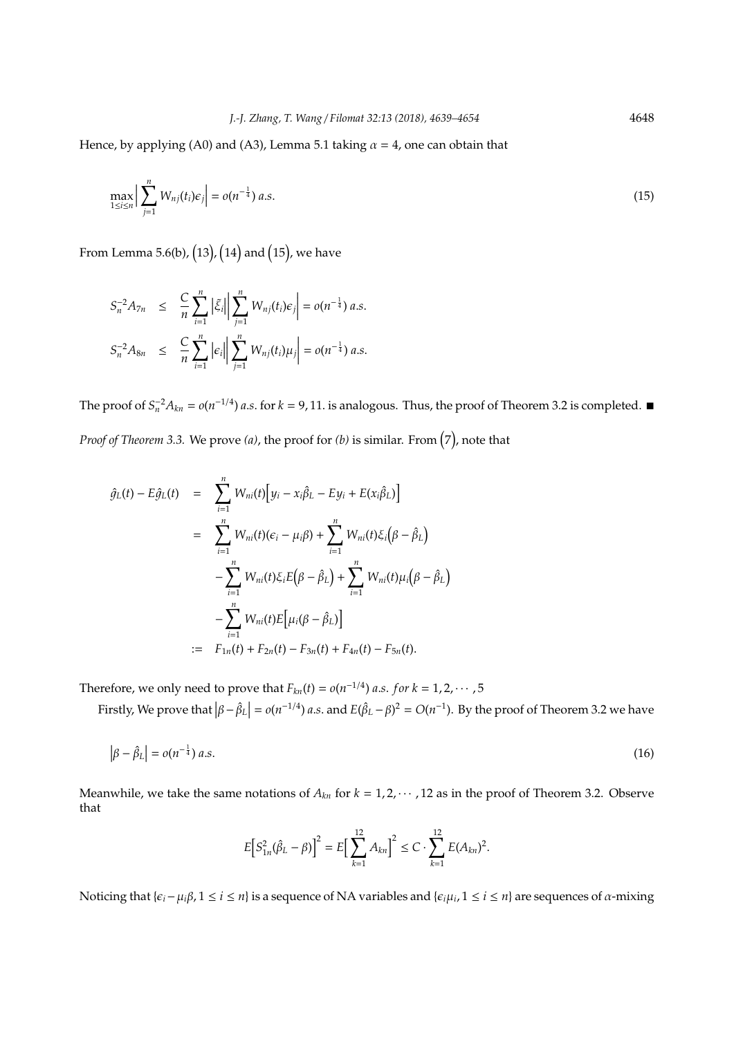Hence, by applying (A0) and (A3), Lemma 5.1 taking  $\alpha = 4$ , one can obtain that

$$
\max_{1 \leq i \leq n} \left| \sum_{j=1}^{n} W_{nj}(t_i) \epsilon_j \right| = o(n^{-\frac{1}{4}}) \ a.s. \tag{15}
$$

From Lemma 5.6(b),  $(13)$ ,  $(14)$  and  $(15)$ , we have

$$
S_n^{-2}A_{7n} \leq \frac{C}{n}\sum_{i=1}^n |\xi_i| \sum_{j=1}^n W_{nj}(t_i)\epsilon_j| = o(n^{-\frac{1}{4}}) a.s.
$$
  

$$
S_n^{-2}A_{8n} \leq \frac{C}{n}\sum_{i=1}^n |\epsilon_i| \sum_{j=1}^n W_{nj}(t_i)\mu_j| = o(n^{-\frac{1}{4}}) a.s.
$$

The proof of  $S_n^{-2}A_{kn} = o(n^{-1/4})$  *a.s.* for *k* = 9, 11. is analogous. Thus, the proof of Theorem 3.2 is completed. ■ Proof of Theorem 3.3. We prove (a), the proof for (b) is similar. From  $(7)$ , note that

$$
\hat{g}_L(t) - E\hat{g}_L(t) = \sum_{i=1}^n W_{ni}(t) [y_i - x_i \hat{\beta}_L - Ey_i + E(x_i \hat{\beta}_L)]
$$
  
\n
$$
= \sum_{i=1}^n W_{ni}(t) (\epsilon_i - \mu_i \beta) + \sum_{i=1}^n W_{ni}(t) \xi_i (\beta - \hat{\beta}_L)
$$
  
\n
$$
- \sum_{i=1}^n W_{ni}(t) \xi_i E(\beta - \hat{\beta}_L) + \sum_{i=1}^n W_{ni}(t) \mu_i (\beta - \hat{\beta}_L)
$$
  
\n
$$
- \sum_{i=1}^n W_{ni}(t) E [\mu_i (\beta - \hat{\beta}_L)]
$$
  
\n
$$
= F_{1n}(t) + F_{2n}(t) - F_{3n}(t) + F_{4n}(t) - F_{5n}(t).
$$

Therefore, we only need to prove that  $F_{kn}(t) = o(n^{-1/4})$  *a.s. for*  $k = 1, 2, \cdots, 5$ 

Firstly, We prove that  $\left|\beta - \hat{\beta}_L\right| = o(n^{-1/4})$  *a.s.* and  $E(\hat{\beta}_L - \beta)^2 = O(n^{-1})$ . By the proof of Theorem 3.2 we have

$$
\left|\beta - \hat{\beta}_L\right| = o(n^{-\frac{1}{4}}) a.s.
$$
\n<sup>(16)</sup>

Meanwhile, we take the same notations of  $A_{kn}$  for  $k = 1, 2, \cdots, 12$  as in the proof of Theorem 3.2. Observe that

$$
E\big[S_{1n}^{2}(\hat{\beta}_{L}-\beta)\big]^{2}=E\big[\sum_{k=1}^{12}A_{kn}\big]^{2}\leq C\cdot\sum_{k=1}^{12}E(A_{kn})^{2}.
$$

Noticing that { $\varepsilon_i$  −  $\mu_i$ β, 1 ≤ *i* ≤ *n*} is a sequence of NA variables and { $\varepsilon_i\mu_i$ , 1 ≤ *i* ≤ *n*} are sequences of α-mixing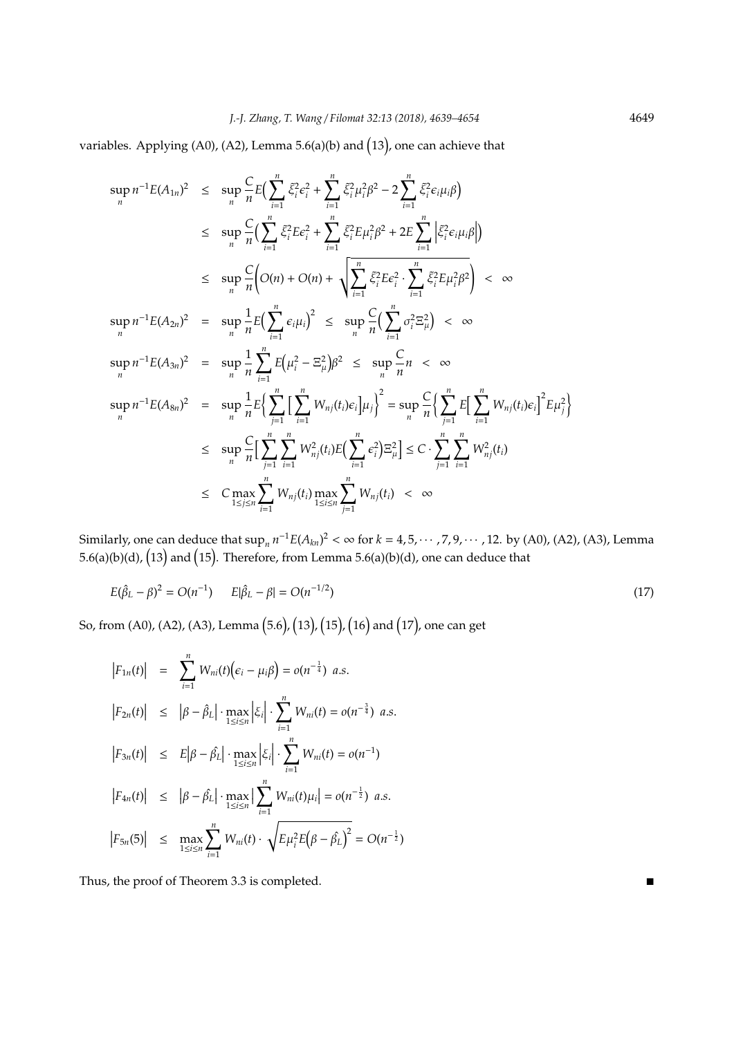variables. Applying (A0), (A2), Lemma 5.6(a)(b) and 13 , one can achieve that

$$
\sup_{n} n^{-1} E(A_{1n})^{2} \leq \sup_{n} \frac{C}{n} E\Big(\sum_{i=1}^{n} \xi_{i}^{2} \epsilon_{i}^{2} + \sum_{i=1}^{n} \xi_{i}^{2} \mu_{i}^{2} \beta^{2} - 2 \sum_{i=1}^{n} \xi_{i}^{2} \epsilon_{i} \mu_{i} \beta \Big)
$$
\n
$$
\leq \sup_{n} \frac{C}{n} \Big(\sum_{i=1}^{n} \xi_{i}^{2} E \epsilon_{i}^{2} + \sum_{i=1}^{n} \xi_{i}^{2} E \mu_{i}^{2} \beta^{2} + 2E \sum_{i=1}^{n} \Big| \xi_{i}^{2} \epsilon_{i} \mu_{i} \beta \Big| \Big)
$$
\n
$$
\leq \sup_{n} \frac{C}{n} \Big(O(n) + O(n) + \sqrt{\sum_{i=1}^{n} \xi_{i}^{2} E \epsilon_{i}^{2} \cdot \sum_{i=1}^{n} \xi_{i}^{2} E \mu_{i}^{2} \beta^{2}} \Big) < \infty
$$
\n
$$
\sup_{n} n^{-1} E(A_{2n})^{2} = \sup_{n} \frac{1}{n} E\Big(\sum_{i=1}^{n} \epsilon_{i} \mu_{i}\Big)^{2} \leq \sup_{n} \frac{C}{n} \Big(\sum_{i=1}^{n} \sigma_{i}^{2} \Xi_{\mu}^{2} \Big) < \infty
$$
\n
$$
\sup_{n} n^{-1} E(A_{3n})^{2} = \sup_{n} \frac{1}{n} \sum_{i=1}^{n} E\Big(\mu_{i}^{2} - \Xi_{\mu}^{2}\Big) \beta^{2} \leq \sup_{n} \frac{C}{n} n < \infty
$$
\n
$$
\sup_{n} n^{-1} E(A_{3n})^{2} = \sup_{n} \frac{1}{n} E\Big{\sum_{j=1}^{n} E\Big(\sum_{i=1}^{n} W_{nj}(t_{i}) \epsilon_{i}\Big] \mu_{j}\Big}^{2} = \sup_{n} \frac{C}{n} \Big{\sum_{j=1}^{n} E\Big(\sum_{i=1}^{n} W_{nj}(t_{i}) \epsilon_{i}\Big)^{2} E \mu_{j}^{2}\Big}
$$
\n
$$
\leq \sup_{n} \frac{C}{n} \
$$

Similarly, one can deduce that  $\sup_n n^{-1} E(A_{kn})^2 < \infty$  for  $k = 4, 5, \cdots, 7, 9, \cdots, 12$ . by (A0), (A2), (A3), Lemma 5.6(a)(b)(d),  $(13)$  and  $(15)$ . Therefore, from Lemma 5.6(a)(b)(d), one can deduce that

$$
E(\hat{\beta}_L - \beta)^2 = O(n^{-1}) \qquad E|\hat{\beta}_L - \beta| = O(n^{-1/2}) \tag{17}
$$

So, from (A0), (A2), (A3), Lemma (5.6), (13), (15), (16) and (17), one can get

$$
|F_{1n}(t)| = \sum_{i=1}^{n} W_{ni}(t) ( \epsilon_i - \mu_i \beta ) = o(n^{-\frac{1}{4}}) a.s.
$$
  
\n
$$
|F_{2n}(t)| \leq |\beta - \hat{\beta}_L| \cdot \max_{1 \leq i \leq n} \left| \xi_i \right| \cdot \sum_{i=1}^{n} W_{ni}(t) = o(n^{-\frac{3}{4}}) a.s.
$$
  
\n
$$
|F_{3n}(t)| \leq E |\beta - \hat{\beta}_L| \cdot \max_{1 \leq i \leq n} \left| \xi_i \right| \cdot \sum_{i=1}^{n} W_{ni}(t) = o(n^{-1})
$$
  
\n
$$
|F_{4n}(t)| \leq |\beta - \hat{\beta}_L| \cdot \max_{1 \leq i \leq n} \left| \sum_{i=1}^{n} W_{ni}(t) \mu_i \right| = o(n^{-\frac{1}{2}}) a.s.
$$
  
\n
$$
|F_{5n}(5)| \leq \max_{1 \leq i \leq n} \sum_{i=1}^{n} W_{ni}(t) \cdot \sqrt{E \mu_i^2 E(\beta - \hat{\beta}_L)^2} = O(n^{-\frac{1}{2}})
$$

Thus, the proof of Theorem 3.3 is completed.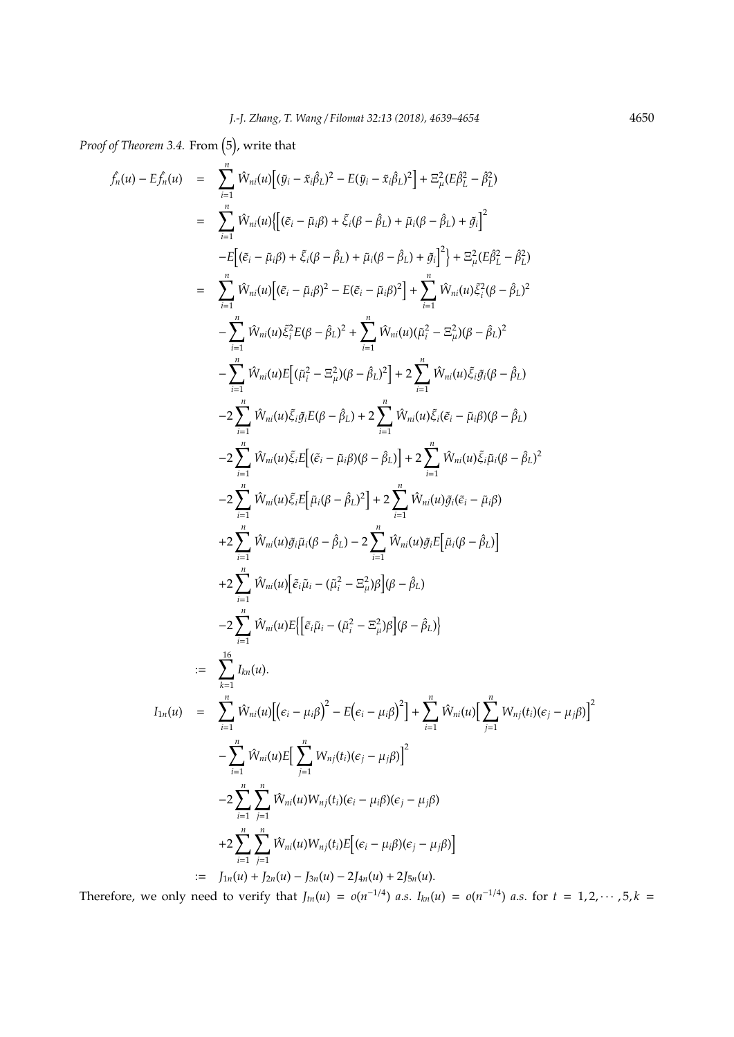Proof of Theorem 3.4. From (5), write that

$$
f_n(u) - Ef_n(u) = \sum_{i=1}^n W_{ni}(u) [(g_i - \bar{x}_i \beta_L)^2 - E(g_i - \bar{x}_i \beta_L)^2] + \Xi_n^2 (E\beta_L^2 - \beta_L^2)
$$
  
\n
$$
= \sum_{i=1}^n W_{ni}(u) [[(\bar{e}_i - \bar{\mu}_i \beta) + \bar{\varepsilon}_i (\beta - \hat{\beta}_L) + \bar{\mu}_i (\beta - \hat{\beta}_L) + \bar{g}_i]^2
$$
  
\n
$$
-E[(\bar{e}_i - \bar{\mu}_i \beta) + \bar{\varepsilon}_i (\beta - \hat{\beta}_L) + \bar{\mu}_i (\beta - \hat{\beta}_L) + \bar{g}_i]^2] + \Xi_n^2 (E\beta_L^2 - \beta_L^2)
$$
  
\n
$$
= \sum_{i=1}^n W_{ni}(u) [(\bar{e}_i - \bar{\mu}_i \beta)^2 - E(\bar{e}_i - \bar{\mu}_i \beta)^2] + \sum_{i=1}^n W_{ni}(u) \xi_i^2 (\beta - \beta_L)^2
$$
  
\n
$$
- \sum_{i=1}^n W_{ni}(u) \xi_i^2 E(\beta - \hat{\beta}_L)^2 + \sum_{i=1}^n W_{ni}(u) (\bar{\mu}_i^2 - \bar{\mu}_i^2) (\beta - \hat{\beta}_L)^2
$$
  
\n
$$
- \sum_{i=1}^n W_{ni}(u) \xi_i \beta_L (\beta - \beta_L)^2 + 2 \sum_{i=1}^n W_{ni}(u) \xi_i \beta_L (\beta - \hat{\beta}_L)
$$
  
\n
$$
- 2 \sum_{i=1}^n W_{ni}(u) \xi_i \beta_L (\beta - \beta_L) + 2 \sum_{i=1}^n W_{ni}(u) \xi_i \beta_L (\beta - \hat{\beta}_L)
$$
  
\n
$$
- 2 \sum_{i=1}^n W_{ni}(u) \xi_i E[(\bar{e}_i - \bar{\mu}_i \beta) (\beta - \hat{\beta}_L)] + 2 \sum_{i=1}^n W_{ni}(u) \xi_i \beta_L (\beta - \hat{\beta}_L)
$$
  
\n
$$
+ 2 \sum_{i=1}^n W_{ni}(u) \xi_i E[\bar{u}_i (\beta - \hat{\beta}_L) - 2 \sum_{i=1}^n W_{ni}(u)
$$

Therefore, we only need to verify that  $J_{tn}(u) = o(n^{-1/4})$  a.s.  $I_{kn}(u) = o(n^{-1/4})$  a.s. for  $t = 1, 2, \cdots, 5, k =$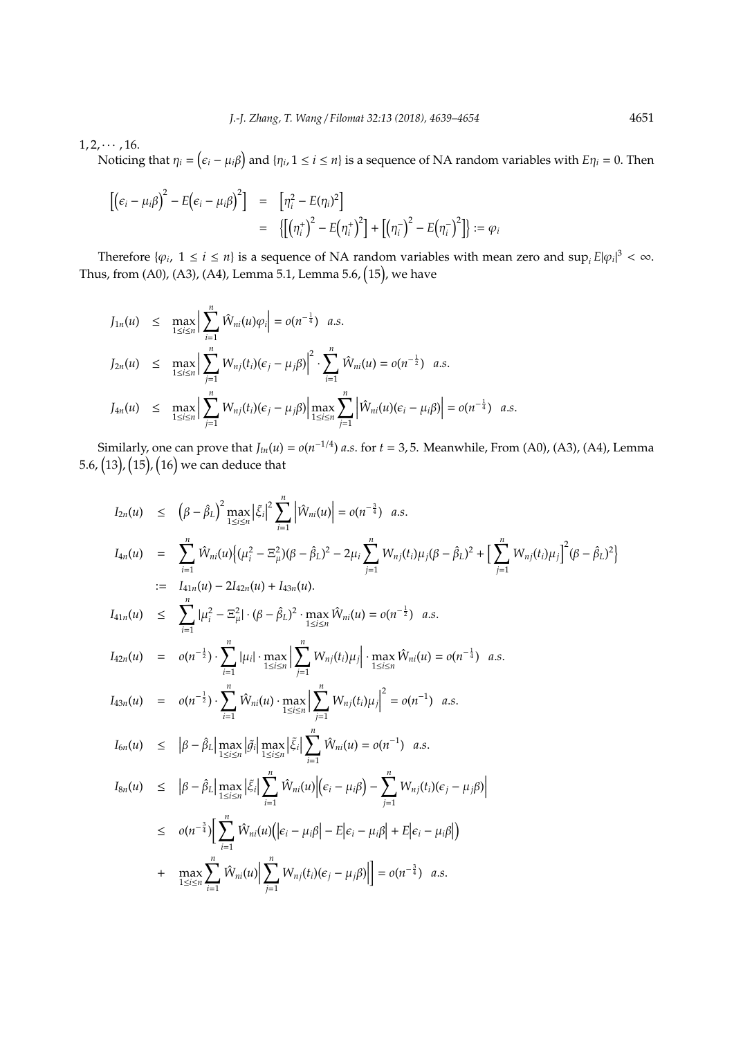$1, 2, \cdots, 16.$ 

Noticing that  $\eta_i = (\epsilon_i - \mu_i \beta)$  and  $\{\eta_i, 1 \leq i \leq n\}$  is a sequence of NA random variables with  $E\eta_i = 0$ . Then

$$
\begin{array}{rcl}\n\left[\left(\epsilon_i - \mu_i \beta\right)^2 - E\left(\epsilon_i - \mu_i \beta\right)^2\right] & = & \left[\eta_i^2 - E(\eta_i)^2\right] \\
& = & \left\{\left[\left(\eta_i^+\right)^2 - E\left(\eta_i^+\right)^2\right] + \left[\left(\eta_i^-\right)^2 - E\left(\eta_i^-\right)^2\right]\right\} := \varphi_i\n\end{array}
$$

Therefore  $\{\varphi_i, 1 \le i \le n\}$  is a sequence of NA random variables with mean zero and  $\sup_i E|\varphi_i|^3 < \infty$ . Thus, from (A0), (A3), (A4), Lemma 5.1, Lemma 5.6,  $(15)$ , we have

$$
J_{1n}(u) \leq \max_{1 \leq i \leq n} \Big| \sum_{i=1}^{n} \hat{W}_{ni}(u) \varphi_{i} \Big| = o(n^{-\frac{1}{4}}) \quad a.s.
$$
  
\n
$$
J_{2n}(u) \leq \max_{1 \leq i \leq n} \Big| \sum_{j=1}^{n} W_{nj}(t_{i})(\epsilon_{j} - \mu_{j}\beta) \Big|^{2} \cdot \sum_{i=1}^{n} \hat{W}_{ni}(u) = o(n^{-\frac{1}{2}}) \quad a.s.
$$
  
\n
$$
J_{4n}(u) \leq \max_{1 \leq i \leq n} \Big| \sum_{j=1}^{n} W_{nj}(t_{i})(\epsilon_{j} - \mu_{j}\beta) \Big| \max_{1 \leq i \leq n} \sum_{j=1}^{n} \Big| \hat{W}_{ni}(u)(\epsilon_{i} - \mu_{i}\beta) \Big| = o(n^{-\frac{1}{4}}) \quad a.s.
$$

Similarly, one can prove that  $J_{tn}(u) = o(n^{-1/4})$  *a.s.* for  $t = 3, 5$ . Meanwhile, From (A0), (A3), (A4), Lemma 5.6, (13), (15), (16) we can deduce that

$$
I_{2n}(u) \leq (\beta - \beta_L)^2 \max_{1 \leq i \leq n} |\xi_i|^2 \sum_{i=1}^n |\hat{W}_{ni}(u)| = o(n^{-\frac{3}{2}}) \quad a.s.
$$
\n
$$
I_{4n}(u) = \sum_{i=1}^n \hat{W}_{ni}(u) \{ (\mu_i^2 - \Xi_{\mu}^2)(\beta - \beta_L)^2 - 2\mu_i \sum_{j=1}^n W_{nj}(t_i) \mu_j (\beta - \beta_L)^2 + \left[ \sum_{j=1}^n W_{nj}(t_i) \mu_j \right]^2 (\beta - \beta_L)^2 \}
$$
\n
$$
:= I_{41n}(u) - 2I_{42n}(u) + I_{43n}(u).
$$
\n
$$
I_{41n}(u) \leq \sum_{i=1}^n |\mu_i^2 - \Xi_{\mu}^2| \cdot (\beta - \beta_L)^2 \cdot \max_{1 \leq i \leq n} \hat{W}_{ni}(u) = o(n^{-\frac{1}{2}}) \quad a.s.
$$
\n
$$
I_{42n}(u) = o(n^{-\frac{1}{2}}) \cdot \sum_{i=1}^n |\mu_i| \cdot \max_{1 \leq i \leq n} \left| \sum_{j=1}^n W_{nj}(t_i) \mu_j \right| \cdot \max_{1 \leq i \leq n} \hat{W}_{ni}(u) = o(n^{-\frac{1}{4}}) \quad a.s.
$$
\n
$$
I_{43n}(u) = o(n^{-\frac{1}{2}}) \cdot \sum_{i=1}^n \hat{W}_{ni}(u) \cdot \max_{1 \leq i \leq n} \left| \sum_{j=1}^n W_{nj}(t_i) \mu_j \right|^2 = o(n^{-1}) \quad a.s.
$$
\n
$$
I_{6n}(u) \leq |\beta - \hat{\beta}_L| \max_{1 \leq i \leq n} |\xi_i| \sum_{i=1}^n \hat{W}_{ni}(u) |(\epsilon_i - \mu_i \beta) - \sum_{j=1}^n W_{nj}(t_i) (\epsilon_j - \mu_j \beta)|
$$
\n
$$
\leq o(n^{-\frac{3}{4}}) \left[ \sum_{1 \leq i \leq n}^n \hat{W}_{ni}(u) \right] \cdot \left| \sum_{i=1}^n W_{nj}(t_i) (\epsilon_i - \mu_i \beta) \right|
$$
\n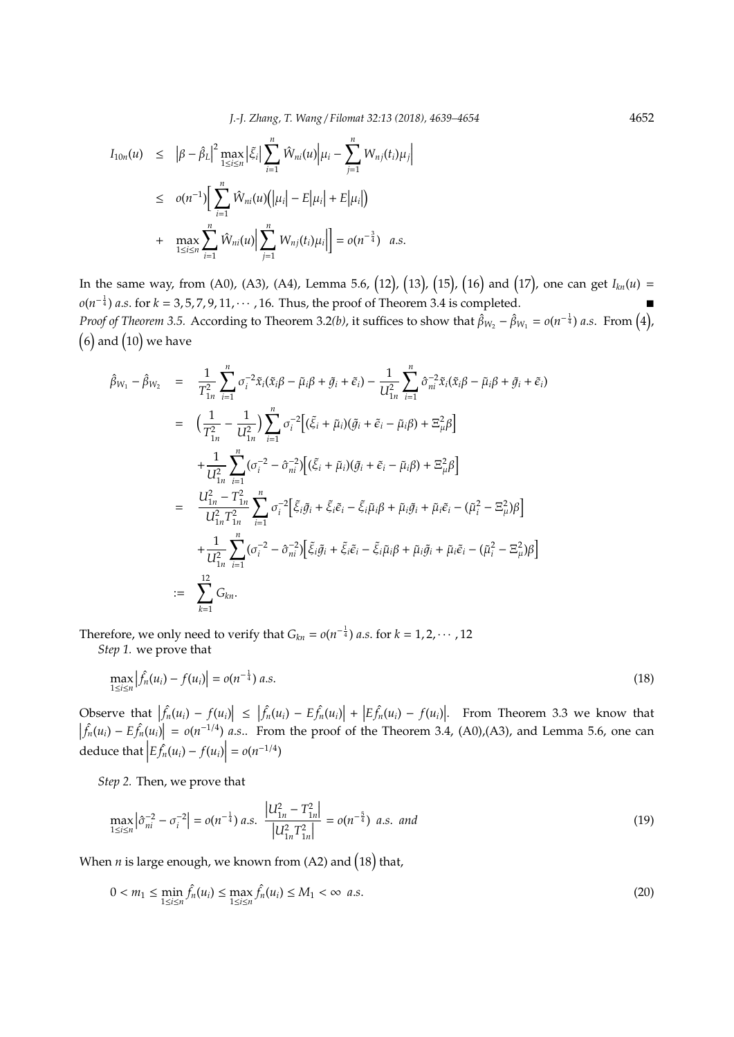$$
I_{10n}(u) \leq |\beta - \hat{\beta}_L|^2 \max_{1 \leq i \leq n} |\tilde{\xi}_i| \sum_{i=1}^n \hat{W}_{ni}(u) | \mu_i - \sum_{j=1}^n W_{nj}(t_i) \mu_j |
$$
  
\n
$$
\leq o(n^{-1}) \Big[ \sum_{i=1}^n \hat{W}_{ni}(u) (|\mu_i| - E |\mu_i| + E |\mu_i|) + \max_{1 \leq i \leq n} \sum_{i=1}^n \hat{W}_{ni}(u) \Big| \sum_{j=1}^n W_{nj}(t_i) \mu_i \Big| = o(n^{-\frac{3}{4}}) \quad a.s.
$$

In the same way, from (A0), (A3), (A4), Lemma 5.6, (12), (13), (15), (16) and (17), one can get  $I_{kn}(u)$  = *o*( $n^{-\frac{1}{4}}$ ) *a.s.* for *k* = 3,5,7,9,11, · · · , 16. Thus, the proof of Theorem 3.4 is completed. ■ *Proof of Theorem 3.5.* According to Theorem 3.2(b), it suffices to show that  $\hat{\beta}_{W_2}-\hat{\beta}_{W_1}=o(n^{-\frac{1}{4}})$  *a.s.* From  $(4)$ ,  $(6)$  and  $(10)$  we have

$$
\hat{\beta}_{W_1} - \hat{\beta}_{W_2} = \frac{1}{T_{1n}^2} \sum_{i=1}^n \sigma_i^{-2} \tilde{x}_i (\tilde{x}_i \beta - \tilde{\mu}_i \beta + \tilde{g}_i + \tilde{\epsilon}_i) - \frac{1}{U_{1n}^2} \sum_{i=1}^n \hat{\sigma}_{ni}^{-2} \tilde{x}_i (\tilde{x}_i \beta - \tilde{\mu}_i \beta + \tilde{g}_i + \tilde{\epsilon}_i)
$$
\n
$$
= \left( \frac{1}{T_{1n}^2} - \frac{1}{U_{1n}^2} \right) \sum_{i=1}^n \sigma_i^{-2} \Big[ (\tilde{\xi}_i + \tilde{\mu}_i) (\tilde{g}_i + \tilde{\epsilon}_i - \tilde{\mu}_i \beta) + \Xi_{\mu}^2 \beta \Big]
$$
\n
$$
+ \frac{1}{U_{1n}^2} \sum_{i=1}^n (\sigma_i^{-2} - \hat{\sigma}_{ni}^{-2}) \Big[ (\tilde{\xi}_i + \tilde{\mu}_i) (\tilde{g}_i + \tilde{\epsilon}_i - \tilde{\mu}_i \beta) + \Xi_{\mu}^2 \beta \Big]
$$
\n
$$
= \frac{U_{1n}^2 - T_{1n}^2}{U_{1n}^2 T_{1n}^2} \sum_{i=1}^n \sigma_i^{-2} \Big[ \tilde{\xi}_i \tilde{g}_i + \tilde{\xi}_i \tilde{\epsilon}_i - \tilde{\xi}_i \tilde{\mu}_i \beta + \tilde{\mu}_i \tilde{g}_i + \tilde{\mu}_i \tilde{\epsilon}_i - (\tilde{\mu}_i^2 - \Xi_{\mu}^2) \beta \Big]
$$
\n
$$
+ \frac{1}{U_{1n}^2} \sum_{i=1}^n (\sigma_i^{-2} - \hat{\sigma}_{ni}^{-2}) \Big[ \tilde{\xi}_i \tilde{g}_i + \tilde{\xi}_i \tilde{\epsilon}_i - \tilde{\xi}_i \tilde{\mu}_i \beta + \tilde{\mu}_i \tilde{g}_i + \tilde{\mu}_i \tilde{\epsilon}_i - (\tilde{\mu}_i^2 - \Xi_{\mu}^2) \beta \Big]
$$
\n
$$
:= \sum_{k=1}^{12} G_{kn}.
$$

Therefore, we only need to verify that  $G_{kn} = o(n^{-\frac{1}{4}})$  *a.s.* for  $k = 1, 2, \cdots, 12$ 

*Step 1.* we prove that

$$
\max_{1 \le i \le n} \left| \hat{f}_n(u_i) - f(u_i) \right| = o(n^{-\frac{1}{4}}) a.s.
$$
\n(18)

Observe that  $\vert$  $|\hat{f}_n(u_i) - f(u_i)| \leq |\hat{f}_n(u_i) - E\hat{f}_n(u_i)| + |E\hat{f}_n(u_i) - f(u_i)|$ . From Theorem 3.3 we know that  $\left| \hat{f}_n(u_i) - E \hat{f}_n(u_i) \right| = o(n^{-1/4})$  *a.s..* From the proof of the Theorem 3.4, (A0),(A3), and Lemma 5.6, one can deduce that  $\left| E \hat{f}_n(u_i) - f(u_i) \right| = o(n^{-1/4})$ 

*Step 2.* Then, we prove that

$$
\max_{1 \le i \le n} \left| \hat{\sigma}_{ni}^{-2} - \sigma_i^{-2} \right| = o(n^{-\frac{1}{4}}) \text{ a.s. } \frac{\left| U_{1n}^2 - T_{1n}^2 \right|}{\left| U_{1n}^2 T_{1n}^2 \right|} = o(n^{-\frac{5}{4}}) \text{ a.s. and}
$$
\n(19)

When  $n$  is large enough, we known from (A2) and  $(18)$  that,

$$
0 < m_1 \le \min_{1 \le i \le n} \hat{f}_n(u_i) \le \max_{1 \le i \le n} \hat{f}_n(u_i) \le M_1 < \infty \ \ a.s. \tag{20}
$$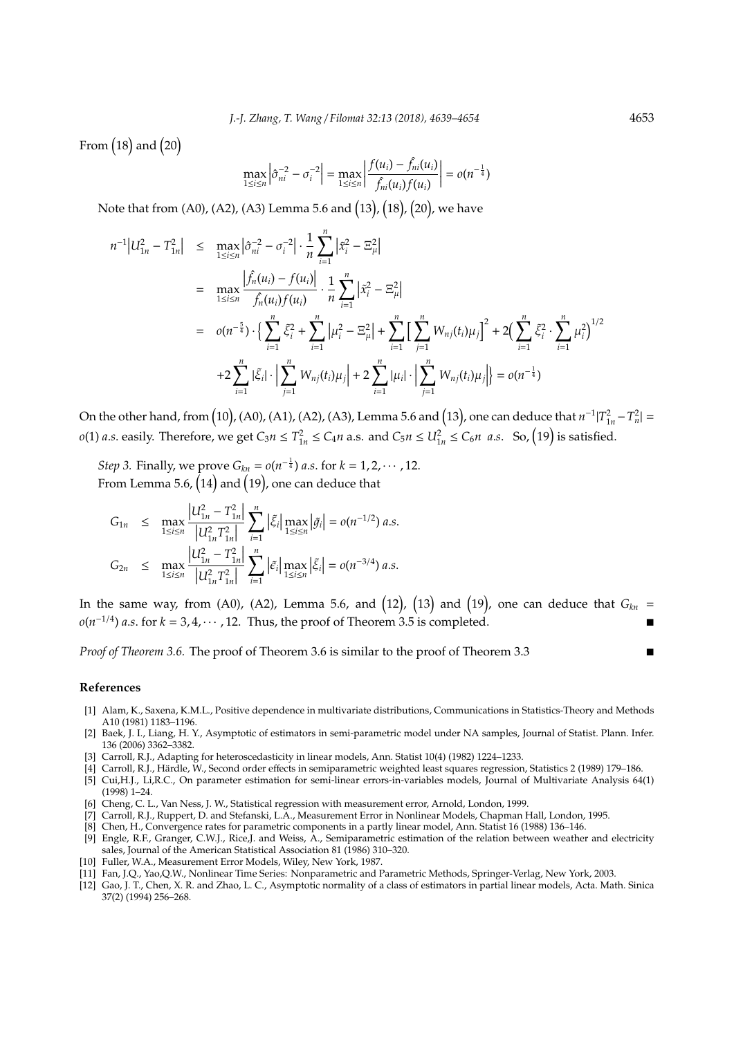From  $(18)$  and  $(20)$ 

$$
\max_{1 \le i \le n} \left| \hat{\sigma}_{ni}^{-2} - \sigma_i^{-2} \right| = \max_{1 \le i \le n} \left| \frac{f(u_i) - \hat{f}_{ni}(u_i)}{\hat{f}_{ni}(u_i)f(u_i)} \right| = o(n^{-\frac{1}{4}})
$$

Note that from (A0), (A2), (A3) Lemma 5.6 and (13), (18), (20), we have

$$
n^{-1}|U_{1n}^2 - T_{1n}^2| \leq \max_{1 \leq i \leq n} |\hat{\sigma}_{ni}^{-2} - \sigma_i^{-2}| \cdot \frac{1}{n} \sum_{i=1}^n |\tilde{x}_i^2 - \Xi_{\mu}^2|
$$
  
\n
$$
= \max_{1 \leq i \leq n} \frac{|\hat{f}_n(u_i) - f(u_i)|}{|\hat{f}_n(u_i)f(u_i)|} \cdot \frac{1}{n} \sum_{i=1}^n |\tilde{x}_i^2 - \Xi_{\mu}^2|
$$
  
\n
$$
= o(n^{-\frac{5}{4}}) \cdot \left\{ \sum_{i=1}^n \xi_i^2 + \sum_{i=1}^n |\mu_i^2 - \Xi_{\mu}^2| + \sum_{i=1}^n \left[ \sum_{j=1}^n W_{nj}(t_i) \mu_j \right]^2 + 2 \left( \sum_{i=1}^n \xi_i^2 \cdot \sum_{i=1}^n \mu_i^2 \right)^{1/2} + 2 \sum_{i=1}^n |\xi_i| \cdot \left| \sum_{j=1}^n W_{nj}(t_i) \mu_j \right| + 2 \sum_{i=1}^n |\mu_i| \cdot \left| \sum_{j=1}^n W_{nj}(t_i) \mu_j \right| = o(n^{-\frac{1}{4}})
$$

On the other hand, from  $(10)$ ,  $(A0)$ ,  $(A1)$ ,  $(A2)$ ,  $(A3)$ , Lemma 5.6 and  $(13)$ , one can deduce that  $n^{-1}|T_{1n}^2 - T_n^2| =$ *o*(1) *a.s.* easily. Therefore, we get  $C_3 n \le T_{1n}^2 \le C_4 n$  a.s. and  $C_5 n \le U_{1n}^2 \le C_6 n$  *a.s.* So,  $(19)$  is satisfied.

*Step 3.* Finally, we prove  $G_{kn} = o(n^{-\frac{1}{4}})$  *a.s.* for  $k = 1, 2, \cdots, 12$ . From Lemma 5.6,  $(14)$  and  $(19)$ , one can deduce that

$$
G_{1n} \leq \max_{1 \leq i \leq n} \frac{|U_{1n}^2 - T_{1n}^2|}{|U_{1n}^2 T_{1n}^2|} \sum_{i=1}^n |\tilde{\xi}_i| \max_{1 \leq i \leq n} |\tilde{g}_i| = o(n^{-1/2}) a.s.
$$
  

$$
G_{2n} \leq \max_{1 \leq i \leq n} \frac{|U_{1n}^2 - T_{1n}^2|}{|U_{1n}^2 T_{1n}^2|} \sum_{i=1}^n |\tilde{\epsilon}_i| \max_{1 \leq i \leq n} |\tilde{\xi}_i| = o(n^{-3/4}) a.s.
$$

In the same way, from (A0), (A2), Lemma 5.6, and  $(12)$ ,  $(13)$  and  $(19)$ , one can deduce that  $G_{kn}$  =  $o(n^{-1/4})$  *a.s.* for  $k = 3, 4, \cdots, 12$ . Thus, the proof of Theorem 3.5 is completed.

*Proof of Theorem 3.6.* The proof of Theorem 3.6 is similar to the proof of Theorem 3.3 ■

# **References**

- [1] Alam, K., Saxena, K.M.L., Positive dependence in multivariate distributions, Communications in Statistics-Theory and Methods A10 (1981) 1183–1196.
- [2] Baek, J. I., Liang, H. Y., Asymptotic of estimators in semi-parametric model under NA samples, Journal of Statist. Plann. Infer. 136 (2006) 3362–3382.
- [3] Carroll, R.J., Adapting for heteroscedasticity in linear models, Ann. Statist 10(4) (1982) 1224–1233.
- [4] Carroll, R.J., Härdle, W., Second order effects in semiparametric weighted least squares regression, Statistics 2 (1989) 179-186.
- [5] Cui,H.J., Li,R.C., On parameter estimation for semi-linear errors-in-variables models, Journal of Multivariate Analysis 64(1) (1998) 1–24.
- [6] Cheng, C. L., Van Ness, J. W., Statistical regression with measurement error, Arnold, London, 1999.
- [7] Carroll, R.J., Ruppert, D. and Stefanski, L.A., Measurement Error in Nonlinear Models, Chapman Hall, London, 1995.
- [8] Chen, H., Convergence rates for parametric components in a partly linear model, Ann. Statist 16 (1988) 136–146.
- [9] Engle, R.F., Granger, C.W.J., Rice,J. and Weiss, A., Semiparametric estimation of the relation between weather and electricity sales, Journal of the American Statistical Association 81 (1986) 310–320.
- [10] Fuller, W.A., Measurement Error Models, Wiley, New York, 1987.
- [11] Fan, J.Q., Yao,Q.W., Nonlinear Time Series: Nonparametric and Parametric Methods, Springer-Verlag, New York, 2003.
- [12] Gao, J. T., Chen, X. R. and Zhao, L. C., Asymptotic normality of a class of estimators in partial linear models, Acta. Math. Sinica 37(2) (1994) 256–268.